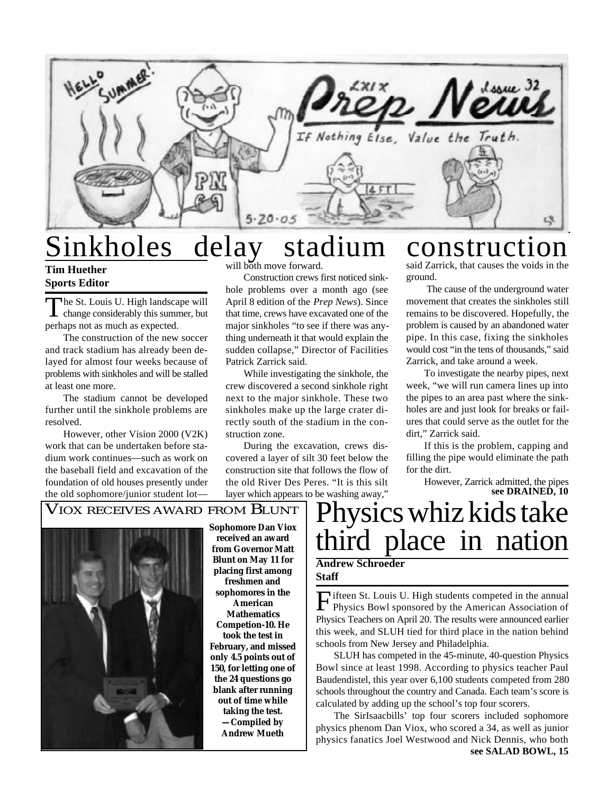

# Sinkholes delay stadium construction  $\deg_{\mathsf{full\;both\; move\; forward}}$

**Tim Huether Sports Editor**

The St. Louis U. High landscape will<br>change considerably this summer, but he St. Louis U. High landscape will perhaps not as much as expected.

The construction of the new soccer and track stadium has already been delayed for almost four weeks because of problems with sinkholes and will be stalled at least one more.

The stadium cannot be developed further until the sinkhole problems are resolved.

However, other Vision 2000 (V2K) work that can be undertaken before stadium work continues—such as work on the baseball field and excavation of the foundation of old houses presently under the old sophomore/junior student lot—

Construction crews first noticed sinkhole problems over a month ago (see April 8 edition of the *Prep News*). Since that time, crews have excavated one of the major sinkholes "to see if there was anything underneath it that would explain the sudden collapse," Director of Facilities Patrick Zarrick said.

While investigating the sinkhole, the crew discovered a second sinkhole right next to the major sinkhole. These two sinkholes make up the large crater directly south of the stadium in the construction zone.

During the excavation, crews discovered a layer of silt 30 feet below the construction site that follows the flow of the old River Des Peres. "It is this silt layer which appears to be washing away,"

said Zarrick, that causes the voids in the ground.

 The cause of the underground water movement that creates the sinkholes still remains to be discovered. Hopefully, the problem is caused by an abandoned water pipe. In this case, fixing the sinkholes would cost "in the tens of thousands," said Zarrick, and take around a week.

To investigate the nearby pipes, next week, "we will run camera lines up into the pipes to an area past where the sinkholes are and just look for breaks or failures that could serve as the outlet for the dirt," Zarrick said.

If this is the problem, capping and filling the pipe would eliminate the path for the dirt.

**see DRAINED, 10** However, Zarrick admitted, the pipes

## VIOX RECEIVES AWARD FROM BLUNT



**Sophomore Dan Viox received an award from Governor Matt Blunt on May 11 for placing first among freshmen and sophomores in the American Mathematics Competion-10. He took the test in February, and missed only 4.5 points out of 150, for letting one of the 24 questions go blank after running out of time while taking the test. —Compiled by Andrew Mueth**

# hysics whiz kids take third place in nation **Andrew Schroeder Staff**

۱ Fifteen St. Louis U. High students competed in the annual<br>Physics Bowl sponsored by the American Association of ifteen St. Louis U. High students competed in the annual Physics Teachers on April 20. The results were announced earlier this week, and SLUH tied for third place in the nation behind schools from New Jersey and Philadelphia.

SLUH has competed in the 45-minute, 40-question Physics Bowl since at least 1998. According to physics teacher Paul Baudendistel, this year over 6,100 students competed from 280 schools throughout the country and Canada. Each team's score is calculated by adding up the school's top four scorers.

The SirIsaacbills' top four scorers included sophomore physics phenom Dan Viox, who scored a 34, as well as junior physics fanatics Joel Westwood and Nick Dennis, who both **see SALAD BOWL, 15**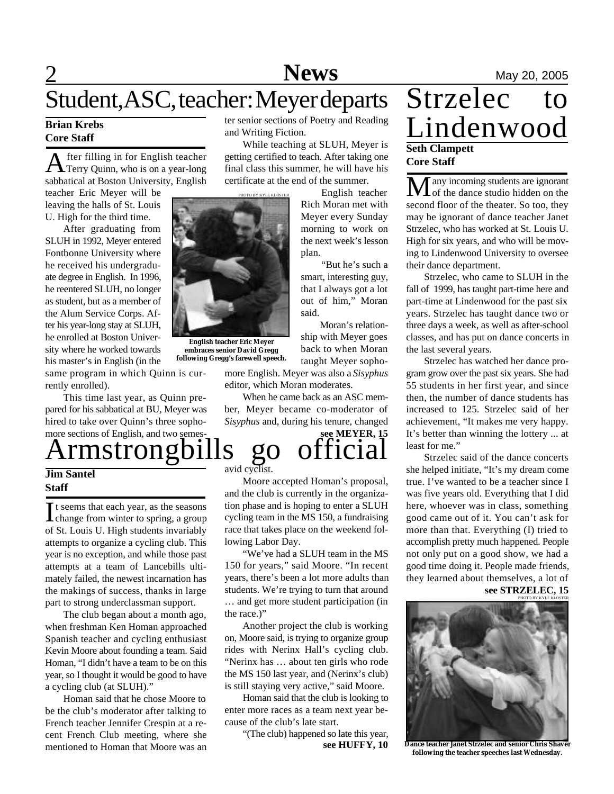# **News** May 20, 2005 Student, ASC, teacher: Meyer departs Strzelec

### **Brian Krebs Core Staff**

A fter filling in for English teacher<br>Terry Quinn, who is on a year-long fter filling in for English teacher sabbatical at Boston University, English

teacher Eric Meyer will be leaving the halls of St. Louis U. High for the third time.

After graduating from SLUH in 1992, Meyer entered Fontbonne University where he received his undergraduate degree in English. In 1996, he reentered SLUH, no longer as student, but as a member of the Alum Service Corps. After his year-long stay at SLUH, he enrolled at Boston University where he worked towards his master's in English (in the



PHOTO BY KYLE KLOSTER

and Writing Fiction.

ter senior sections of Poetry and Reading

While teaching at SLUH, Meyer is getting certified to teach. After taking one final class this summer, he will have his certificate at the end of the summer.

plan.

said.

more English. Meyer was also a *Sisyphus*

When he came back as an ASC member, Meyer became co-moderator of *Sisyphus* and, during his tenure, changed

editor, which Moran moderates.

English teacher Rich Moran met with Meyer every Sunday morning to work on the next week's lesson

 "But he's such a smart, interesting guy, that I always got a lot out of him," Moran

 Moran's relationship with Meyer goes back to when Moran taught Meyer sopho-

**English teacher Eric Meyer embraces senior David Gregg following Gregg's farewell speech.**

same program in which Quinn is currently enrolled).

This time last year, as Quinn prepared for his sabbatical at BU, Meyer was hired to take over Quinn's three sophomore sections of English, and two semes-

# rmstrongbills go officia

### **Jim Santel Staff**

It seems that each year, as the seasons<br>change from winter to spring, a group It seems that each year, as the seasons of St. Louis U. High students invariably attempts to organize a cycling club. This year is no exception, and while those past attempts at a team of Lancebills ultimately failed, the newest incarnation has the makings of success, thanks in large part to strong underclassman support.

The club began about a month ago, when freshman Ken Homan approached Spanish teacher and cycling enthusiast Kevin Moore about founding a team. Said Homan, "I didn't have a team to be on this year, so I thought it would be good to have a cycling club (at SLUH)."

Homan said that he chose Moore to be the club's moderator after talking to French teacher Jennifer Crespin at a recent French Club meeting, where she mentioned to Homan that Moore was an avid cyclist.

Moore accepted Homan's proposal, and the club is currently in the organization phase and is hoping to enter a SLUH cycling team in the MS 150, a fundraising race that takes place on the weekend following Labor Day.

**see MEYER, 15**

"We've had a SLUH team in the MS 150 for years," said Moore. "In recent years, there's been a lot more adults than students. We're trying to turn that around … and get more student participation (in the race.)"

Another project the club is working on, Moore said, is trying to organize group rides with Nerinx Hall's cycling club. "Nerinx has … about ten girls who rode the MS 150 last year, and (Nerinx's club) is still staying very active," said Moore.

Homan said that the club is looking to enter more races as a team next year because of the club's late start.

**see HUFFY, 10** "(The club) happened so late this year,

# Lindenwood **Seth Clampett Core Staff**

 $\overline{\mathbf{\mathbf{M}}}$  any incoming students are ignorant second floor of the theater. So too, they may be ignorant of dance teacher Janet Strzelec, who has worked at St. Louis U. High for six years, and who will be moving to Lindenwood University to oversee their dance department.

Strzelec, who came to SLUH in the fall of 1999, has taught part-time here and part-time at Lindenwood for the past six years. Strzelec has taught dance two or three days a week, as well as after-school classes, and has put on dance concerts in the last several years.

Strzelec has watched her dance program grow over the past six years. She had 55 students in her first year, and since then, the number of dance students has increased to 125. Strzelec said of her achievement, "It makes me very happy. It's better than winning the lottery ... at least for me."

Strzelec said of the dance concerts she helped initiate, "It's my dream come true. I've wanted to be a teacher since I was five years old. Everything that I did here, whoever was in class, something good came out of it. You can't ask for more than that. Everything (I) tried to accomplish pretty much happened. People not only put on a good show, we had a good time doing it. People made friends, they learned about themselves, a lot of **see STRZELEC, 15**



**Dance teacher Janet Strzelec and senior Chris Shaver following the teacher speeches last Wednesday.**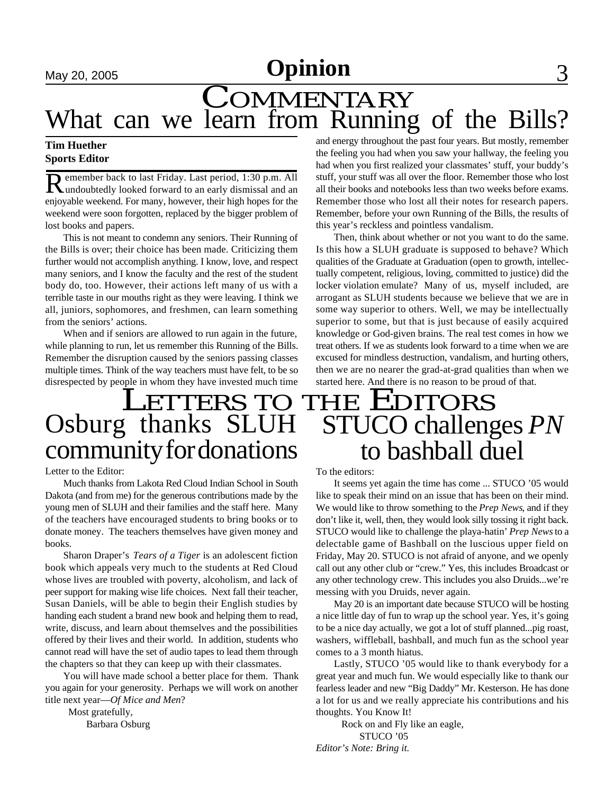# **May 20, 2005 Opinion** 3

# COMMENTARY What can we learn from Running of the Bills?

## **Tim Huether Sports Editor**

R emember back to last Friday. Last period, 1:30 p.m. All undoubtedly looked forward to an early dismissal and an emember back to last Friday. Last period, 1:30 p.m. All enjoyable weekend. For many, however, their high hopes for the weekend were soon forgotten, replaced by the bigger problem of lost books and papers.

This is not meant to condemn any seniors. Their Running of the Bills is over; their choice has been made. Criticizing them further would not accomplish anything. I know, love, and respect many seniors, and I know the faculty and the rest of the student body do, too. However, their actions left many of us with a terrible taste in our mouths right as they were leaving. I think we all, juniors, sophomores, and freshmen, can learn something from the seniors' actions.

When and if seniors are allowed to run again in the future, while planning to run, let us remember this Running of the Bills. Remember the disruption caused by the seniors passing classes multiple times. Think of the way teachers must have felt, to be so disrespected by people in whom they have invested much time

# Osburg thanks SLUH community for donations

### Letter to the Editor:

Much thanks from Lakota Red Cloud Indian School in South Dakota (and from me) for the generous contributions made by the young men of SLUH and their families and the staff here. Many of the teachers have encouraged students to bring books or to donate money. The teachers themselves have given money and books.

Sharon Draper's *Tears of a Tiger* is an adolescent fiction book which appeals very much to the students at Red Cloud whose lives are troubled with poverty, alcoholism, and lack of peer support for making wise life choices. Next fall their teacher, Susan Daniels, will be able to begin their English studies by handing each student a brand new book and helping them to read, write, discuss, and learn about themselves and the possibilities offered by their lives and their world. In addition, students who cannot read will have the set of audio tapes to lead them through the chapters so that they can keep up with their classmates.

You will have made school a better place for them. Thank you again for your generosity. Perhaps we will work on another title next year—*Of Mice and Men*?

 Most gratefully, Barbara Osburg and energy throughout the past four years. But mostly, remember the feeling you had when you saw your hallway, the feeling you had when you first realized your classmates' stuff, your buddy's stuff, your stuff was all over the floor. Remember those who lost all their books and notebooks less than two weeks before exams. Remember those who lost all their notes for research papers. Remember, before your own Running of the Bills, the results of this year's reckless and pointless vandalism.

Then, think about whether or not you want to do the same. Is this how a SLUH graduate is supposed to behave? Which qualities of the Graduate at Graduation (open to growth, intellectually competent, religious, loving, committed to justice) did the locker violation emulate? Many of us, myself included, are arrogant as SLUH students because we believe that we are in some way superior to others. Well, we may be intellectually superior to some, but that is just because of easily acquired knowledge or God-given brains. The real test comes in how we treat others. If we as students look forward to a time when we are excused for mindless destruction, vandalism, and hurting others, then we are no nearer the grad-at-grad qualities than when we started here. And there is no reason to be proud of that.

# LETTERS TO THE EDITORS STUCO challenges *PN* to bashball duel

#### To the editors:

It seems yet again the time has come ... STUCO '05 would like to speak their mind on an issue that has been on their mind. We would like to throw something to the *Prep News*, and if they don't like it, well, then, they would look silly tossing it right back. STUCO would like to challenge the playa-hatin' *Prep News* to a delectable game of Bashball on the luscious upper field on Friday, May 20. STUCO is not afraid of anyone, and we openly call out any other club or "crew." Yes, this includes Broadcast or any other technology crew. This includes you also Druids...we're messing with you Druids, never again.

May 20 is an important date because STUCO will be hosting a nice little day of fun to wrap up the school year. Yes, it's going to be a nice day actually, we got a lot of stuff planned...pig roast, washers, wiffleball, bashball, and much fun as the school year comes to a 3 month hiatus.

Lastly, STUCO '05 would like to thank everybody for a great year and much fun. We would especially like to thank our fearless leader and new "Big Daddy" Mr. Kesterson. He has done a lot for us and we really appreciate his contributions and his thoughts. You Know It!

 Rock on and Fly like an eagle, STUCO '05 *Editor's Note: Bring it.*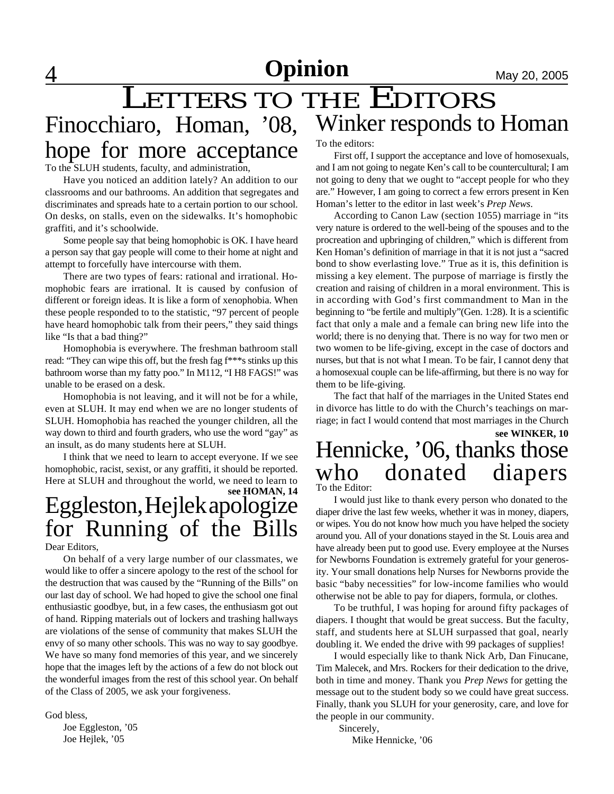**4** May 20, 2005

## LETTERS TO THE EDITORS Finocchiaro, Homan, '08, hope for more acceptance Winker responds to Homan To the editors: First off, I support the acceptance and love of homosexuals,

To the SLUH students, faculty, and administration,

Have you noticed an addition lately? An addition to our classrooms and our bathrooms. An addition that segregates and discriminates and spreads hate to a certain portion to our school. On desks, on stalls, even on the sidewalks. It's homophobic graffiti, and it's schoolwide.

Some people say that being homophobic is OK. I have heard a person say that gay people will come to their home at night and attempt to forcefully have intercourse with them.

There are two types of fears: rational and irrational. Homophobic fears are irrational. It is caused by confusion of different or foreign ideas. It is like a form of xenophobia. When these people responded to to the statistic, "97 percent of people have heard homophobic talk from their peers," they said things like "Is that a bad thing?"

Homophobia is everywhere. The freshman bathroom stall read: "They can wipe this off, but the fresh fag f\*\*\*s stinks up this bathroom worse than my fatty poo." In M112, "I H8 FAGS!" was unable to be erased on a desk.

Homophobia is not leaving, and it will not be for a while, even at SLUH. It may end when we are no longer students of SLUH. Homophobia has reached the younger children, all the way down to third and fourth graders, who use the word "gay" as an insult, as do many students here at SLUH.

I think that we need to learn to accept everyone. If we see homophobic, racist, sexist, or any graffiti, it should be reported. Here at SLUH and throughout the world, we need to learn to

# Eggleston, Hejlek apologize for Running of the Bills **see HOMAN, 14**

Dear Editors,

On behalf of a very large number of our classmates, we would like to offer a sincere apology to the rest of the school for the destruction that was caused by the "Running of the Bills" on our last day of school. We had hoped to give the school one final enthusiastic goodbye, but, in a few cases, the enthusiasm got out of hand. Ripping materials out of lockers and trashing hallways are violations of the sense of community that makes SLUH the envy of so many other schools. This was no way to say goodbye. We have so many fond memories of this year, and we sincerely hope that the images left by the actions of a few do not block out the wonderful images from the rest of this school year. On behalf of the Class of 2005, we ask your forgiveness.

God bless,

Joe Eggleston, '05 Joe Hejlek, '05

and I am not going to negate Ken's call to be countercultural; I am not going to deny that we ought to "accept people for who they are." However, I am going to correct a few errors present in Ken Homan's letter to the editor in last week's *Prep News*.

According to Canon Law (section 1055) marriage in "its very nature is ordered to the well-being of the spouses and to the procreation and upbringing of children," which is different from Ken Homan's definition of marriage in that it is not just a "sacred bond to show everlasting love." True as it is, this definition is missing a key element. The purpose of marriage is firstly the creation and raising of children in a moral environment. This is in according with God's first commandment to Man in the beginning to "be fertile and multiply"(Gen. 1:28). It is a scientific fact that only a male and a female can bring new life into the world; there is no denying that. There is no way for two men or two women to be life-giving, except in the case of doctors and nurses, but that is not what I mean. To be fair, I cannot deny that a homosexual couple can be life-affirming, but there is no way for them to be life-giving.

The fact that half of the marriages in the United States end in divorce has little to do with the Church's teachings on marriage; in fact I would contend that most marriages in the Church

# Hennicke, '06, thanks those who donated diapers To the Editor: **see WINKER, 10**

I would just like to thank every person who donated to the diaper drive the last few weeks, whether it was in money, diapers, or wipes. You do not know how much you have helped the society around you. All of your donations stayed in the St. Louis area and have already been put to good use. Every employee at the Nurses for Newborns Foundation is extremely grateful for your generosity. Your small donations help Nurses for Newborns provide the

otherwise not be able to pay for diapers, formula, or clothes. To be truthful, I was hoping for around fifty packages of diapers. I thought that would be great success. But the faculty, staff, and students here at SLUH surpassed that goal, nearly doubling it. We ended the drive with 99 packages of supplies!

basic "baby necessities" for low-income families who would

I would especially like to thank Nick Arb, Dan Finucane, Tim Malecek, and Mrs. Rockers for their dedication to the drive, both in time and money. Thank you *Prep News* for getting the message out to the student body so we could have great success. Finally, thank you SLUH for your generosity, care, and love for the people in our community.

 Sincerely, Mike Hennicke, '06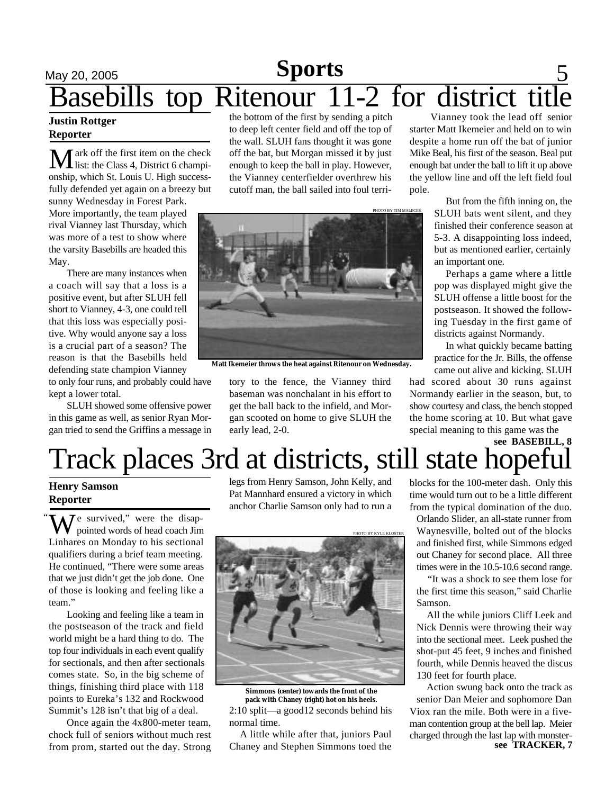# **May 20, 2005 Sports** 5 Basebills top Ritenour 11-2 for district **Sports**

### **Justin Rottger Reporter**

Mark off the first item on the check<br>list: the Class 4, District 6 championship, which St. Louis U. High successfully defended yet again on a breezy but

sunny Wednesday in Forest Park. More importantly, the team played rival Vianney last Thursday, which was more of a test to show where the varsity Basebills are headed this May.

There are many instances when a coach will say that a loss is a positive event, but after SLUH fell short to Vianney, 4-3, one could tell that this loss was especially positive. Why would anyone say a loss is a crucial part of a season? The reason is that the Basebills held defending state champion Vianney

to only four runs, and probably could have kept a lower total.

SLUH showed some offensive power in this game as well, as senior Ryan Morgan tried to send the Griffins a message in the bottom of the first by sending a pitch to deep left center field and off the top of the wall. SLUH fans thought it was gone off the bat, but Morgan missed it by just enough to keep the ball in play. However, the Vianney centerfielder overthrew his cutoff man, the ball sailed into foul terri-



**Matt Ikemeier throws the heat against Ritenour on Wednesday.**

tory to the fence, the Vianney third baseman was nonchalant in his effort to get the ball back to the infield, and Morgan scooted on home to give SLUH the early lead, 2-0.

 Vianney took the lead off senior starter Matt Ikemeier and held on to win despite a home run off the bat of junior Mike Beal, his first of the season. Beal put enough bat under the ball to lift it up above the yellow line and off the left field foul pole.

> But from the fifth inning on, the SLUH bats went silent, and they finished their conference season at 5-3. A disappointing loss indeed, but as mentioned earlier, certainly an important one.

Perhaps a game where a little pop was displayed might give the SLUH offense a little boost for the postseason. It showed the following Tuesday in the first game of districts against Normandy.

In what quickly became batting practice for the Jr. Bills, the offense came out alive and kicking. SLUH

had scored about 30 runs against Normandy earlier in the season, but, to show courtesy and class, the bench stopped the home scoring at 10. But what gave special meaning to this game was the

# Track places 3rd at districts, still state hopeful **see BASEBILL, 8**

## **Henry Samson Reporter**

"  $\overline{J}$  e survived," were the disappointed words of head coach Jim Linhares on Monday to his sectional qualifiers during a brief team meeting. He continued, "There were some areas that we just didn't get the job done. One of those is looking and feeling like a team."

Looking and feeling like a team in the postseason of the track and field world might be a hard thing to do. The top four individuals in each event qualify for sectionals, and then after sectionals comes state. So, in the big scheme of things, finishing third place with 118 points to Eureka's 132 and Rockwood Summit's 128 isn't that big of a deal.

Once again the 4x800-meter team, chock full of seniors without much rest from prom, started out the day. Strong legs from Henry Samson, John Kelly, and Pat Mannhard ensured a victory in which anchor Charlie Samson only had to run a



2:10 split—a good12 seconds behind his normal time. **Simmons (center) towards the front of the pack with Chaney (right) hot on his heels.**

 A little while after that, juniors Paul Chaney and Stephen Simmons toed the blocks for the 100-meter dash. Only this time would turn out to be a little different from the typical domination of the duo.

Orlando Slider, an all-state runner from Waynesville, bolted out of the blocks and finished first, while Simmons edged out Chaney for second place. All three times were in the 10.5-10.6 second range.

"It was a shock to see them lose for the first time this season," said Charlie Samson.

 All the while juniors Cliff Leek and Nick Dennis were throwing their way into the sectional meet. Leek pushed the shot-put 45 feet, 9 inches and finished fourth, while Dennis heaved the discus 130 feet for fourth place.

**see TRACKER, 7** Action swung back onto the track as senior Dan Meier and sophomore Dan Viox ran the mile. Both were in a fiveman contention group at the bell lap. Meier charged through the last lap with monster-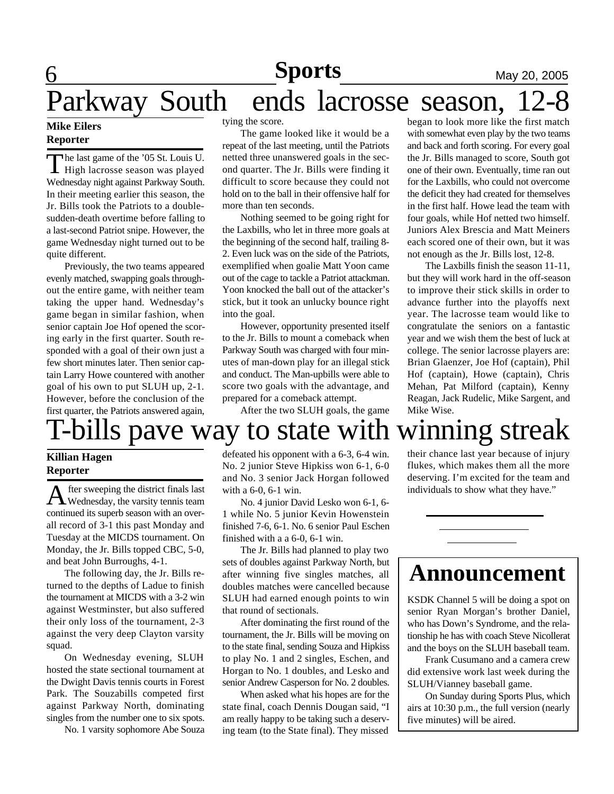# **6** May 20, 2005 **Sports**

# Parkway South ends lacrosse season,

## **Mike Eilers Reporter**

The last game of the '05 St. Louis U.<br>High lacrosse season was played he last game of the '05 St. Louis U. Wednesday night against Parkway South. In their meeting earlier this season, the Jr. Bills took the Patriots to a doublesudden-death overtime before falling to a last-second Patriot snipe. However, the game Wednesday night turned out to be quite different.

Previously, the two teams appeared evenly matched, swapping goals throughout the entire game, with neither team taking the upper hand. Wednesday's game began in similar fashion, when senior captain Joe Hof opened the scoring early in the first quarter. South responded with a goal of their own just a few short minutes later. Then senior captain Larry Howe countered with another goal of his own to put SLUH up, 2-1. However, before the conclusion of the first quarter, the Patriots answered again,

tying the score.

The game looked like it would be a repeat of the last meeting, until the Patriots netted three unanswered goals in the second quarter. The Jr. Bills were finding it difficult to score because they could not hold on to the ball in their offensive half for more than ten seconds.

Nothing seemed to be going right for the Laxbills, who let in three more goals at the beginning of the second half, trailing 8- 2. Even luck was on the side of the Patriots, exemplified when goalie Matt Yoon came out of the cage to tackle a Patriot attackman. Yoon knocked the ball out of the attacker's stick, but it took an unlucky bounce right into the goal.

However, opportunity presented itself to the Jr. Bills to mount a comeback when Parkway South was charged with four minutes of man-down play for an illegal stick and conduct. The Man-upbills were able to score two goals with the advantage, and prepared for a comeback attempt.

After the two SLUH goals, the game

### began to look more like the first match with somewhat even play by the two teams and back and forth scoring. For every goal the Jr. Bills managed to score, South got one of their own. Eventually, time ran out for the Laxbills, who could not overcome the deficit they had created for themselves in the first half. Howe lead the team with four goals, while Hof netted two himself. Juniors Alex Brescia and Matt Meiners each scored one of their own, but it was not enough as the Jr. Bills lost, 12-8.

The Laxbills finish the season 11-11, but they will work hard in the off-season to improve their stick skills in order to advance further into the playoffs next year. The lacrosse team would like to congratulate the seniors on a fantastic year and we wish them the best of luck at college. The senior lacrosse players are: Brian Glaenzer, Joe Hof (captain), Phil Hof (captain), Howe (captain), Chris Mehan, Pat Milford (captain), Kenny Reagan, Jack Rudelic, Mike Sargent, and Mike Wise.

# T-bills pave way to state with winning streak

### **Killian Hagen Reporter**

A fter sweeping the district finals last<br>Wednesday, the varsity tennis team fter sweeping the district finals last continued its superb season with an overall record of 3-1 this past Monday and Tuesday at the MICDS tournament. On Monday, the Jr. Bills topped CBC, 5-0, and beat John Burroughs, 4-1.

The following day, the Jr. Bills returned to the depths of Ladue to finish the tournament at MICDS with a 3-2 win against Westminster, but also suffered their only loss of the tournament, 2-3 against the very deep Clayton varsity squad.

On Wednesday evening, SLUH hosted the state sectional tournament at the Dwight Davis tennis courts in Forest Park. The Souzabills competed first against Parkway North, dominating singles from the number one to six spots.

No. 1 varsity sophomore Abe Souza

defeated his opponent with a 6-3, 6-4 win. No. 2 junior Steve Hipkiss won 6-1, 6-0 and No. 3 senior Jack Horgan followed with a 6-0, 6-1 win.

No. 4 junior David Lesko won 6-1, 6- 1 while No. 5 junior Kevin Howenstein finished 7-6, 6-1. No. 6 senior Paul Eschen finished with a a 6-0, 6-1 win.

The Jr. Bills had planned to play two sets of doubles against Parkway North, but after winning five singles matches, all doubles matches were cancelled because SLUH had earned enough points to win that round of sectionals.

After dominating the first round of the tournament, the Jr. Bills will be moving on to the state final, sending Souza and Hipkiss to play No. 1 and 2 singles, Eschen, and Horgan to No. 1 doubles, and Lesko and senior Andrew Casperson for No. 2 doubles.

When asked what his hopes are for the state final, coach Dennis Dougan said, "I am really happy to be taking such a deserving team (to the State final). They missed

their chance last year because of injury flukes, which makes them all the more deserving. I'm excited for the team and individuals to show what they have."

# **Announcement**

KSDK Channel 5 will be doing a spot on senior Ryan Morgan's brother Daniel, who has Down's Syndrome, and the relationship he has with coach Steve Nicollerat and the boys on the SLUH baseball team.

Frank Cusumano and a camera crew did extensive work last week during the SLUH/Vianney baseball game.

On Sunday during Sports Plus, which airs at 10:30 p.m., the full version (nearly five minutes) will be aired.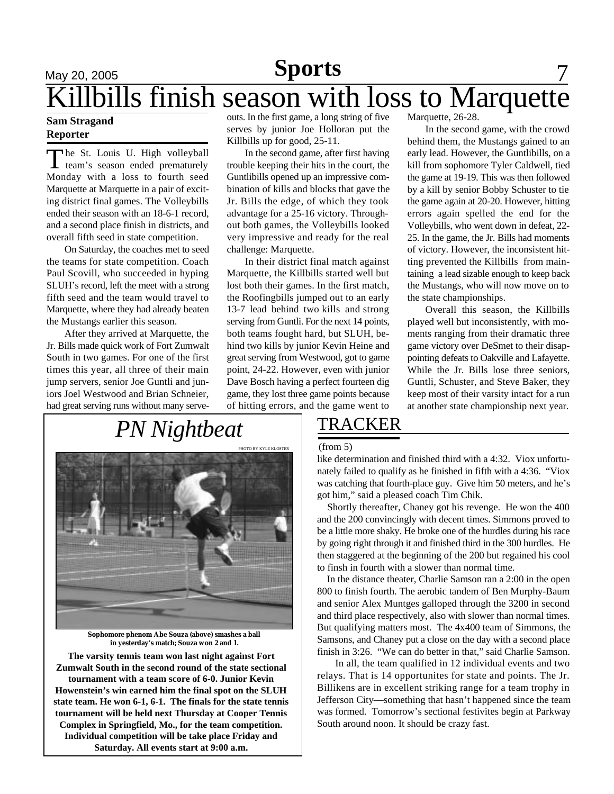# May 20, 2005 **Sports** 7 **Sports**

# ills finish season with loss to Marquette

### **Sam Stragand Reporter**

The St. Louis U. High volleyball<br>team's season ended prematurely he St. Louis U. High volleyball Monday with a loss to fourth seed Marquette at Marquette in a pair of exciting district final games. The Volleybills ended their season with an 18-6-1 record, and a second place finish in districts, and overall fifth seed in state competition.

On Saturday, the coaches met to seed the teams for state competition. Coach Paul Scovill, who succeeded in hyping SLUH's record, left the meet with a strong fifth seed and the team would travel to Marquette, where they had already beaten the Mustangs earlier this season.

After they arrived at Marquette, the Jr. Bills made quick work of Fort Zumwalt South in two games. For one of the first times this year, all three of their main jump servers, senior Joe Guntli and juniors Joel Westwood and Brian Schneier, had great serving runs without many serveouts. In the first game, a long string of five serves by junior Joe Holloran put the Killbills up for good, 25-11.

In the second game, after first having trouble keeping their hits in the court, the Guntlibills opened up an impressive combination of kills and blocks that gave the Jr. Bills the edge, of which they took advantage for a 25-16 victory. Throughout both games, the Volleybills looked very impressive and ready for the real challenge: Marquette.

In their district final match against Marquette, the Killbills started well but lost both their games. In the first match, the Roofingbills jumped out to an early 13-7 lead behind two kills and strong serving from Guntli. For the next 14 points, both teams fought hard, but SLUH, behind two kills by junior Kevin Heine and great serving from Westwood, got to game point, 24-22. However, even with junior Dave Bosch having a perfect fourteen dig game, they lost three game points because of hitting errors, and the game went to

Marquette, 26-28.

In the second game, with the crowd behind them, the Mustangs gained to an early lead. However, the Guntlibills, on a kill from sophomore Tyler Caldwell, tied the game at 19-19. This was then followed by a kill by senior Bobby Schuster to tie the game again at 20-20. However, hitting errors again spelled the end for the Volleybills, who went down in defeat, 22- 25. In the game, the Jr. Bills had moments of victory. However, the inconsistent hitting prevented the Killbills from maintaining a lead sizable enough to keep back the Mustangs, who will now move on to the state championships.

Overall this season, the Killbills played well but inconsistently, with moments ranging from their dramatic three game victory over DeSmet to their disappointing defeats to Oakville and Lafayette. While the Jr. Bills lose three seniors, Guntli, Schuster, and Steve Baker, they keep most of their varsity intact for a run at another state championship next year.

# *PN Nightbeat*



**Sophomore phenom Abe Souza (above) smashes a ball in yesterday's match; Souza won 2 and 1.**

**The varsity tennis team won last night against Fort Zumwalt South in the second round of the state sectional tournament with a team score of 6-0. Junior Kevin Howenstein's win earned him the final spot on the SLUH state team. He won 6-1, 6-1. The finals for the state tennis tournament will be held next Thursday at Cooper Tennis Complex in Springfield, Mo., for the team competition. Individual competition will be take place Friday and Saturday. All events start at 9:00 a.m.**

# TRACKER

#### (from 5)

like determination and finished third with a 4:32. Viox unfortunately failed to qualify as he finished in fifth with a 4:36. "Viox was catching that fourth-place guy. Give him 50 meters, and he's got him," said a pleased coach Tim Chik.

 Shortly thereafter, Chaney got his revenge. He won the 400 and the 200 convincingly with decent times. Simmons proved to be a little more shaky. He broke one of the hurdles during his race by going right through it and finished third in the 300 hurdles. He then staggered at the beginning of the 200 but regained his cool to finsh in fourth with a slower than normal time.

 In the distance theater, Charlie Samson ran a 2:00 in the open 800 to finish fourth. The aerobic tandem of Ben Murphy-Baum and senior Alex Muntges galloped through the 3200 in second and third place respectively, also with slower than normal times. But qualifying matters most. The 4x400 team of Simmons, the Samsons, and Chaney put a close on the day with a second place finish in 3:26. "We can do better in that," said Charlie Samson.

In all, the team qualified in 12 individual events and two relays. That is 14 opportunites for state and points. The Jr. Billikens are in excellent striking range for a team trophy in Jefferson City—something that hasn't happened since the team was formed. Tomorrow's sectional festivites begin at Parkway South around noon. It should be crazy fast.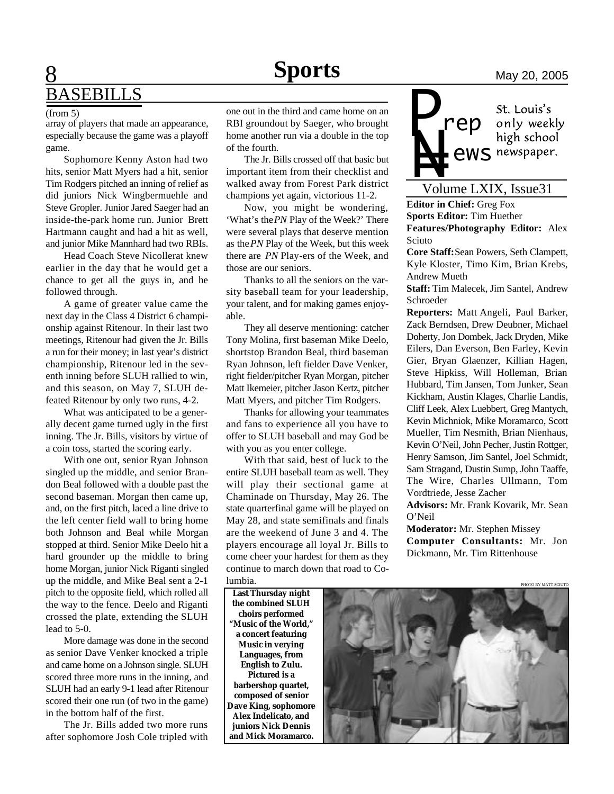# **8 Sports** May 20, 2005 **BASEBILLS**

#### (from 5)

array of players that made an appearance, especially because the game was a playoff game.

Sophomore Kenny Aston had two hits, senior Matt Myers had a hit, senior Tim Rodgers pitched an inning of relief as did juniors Nick Wingbermuehle and Steve Gropler. Junior Jared Saeger had an inside-the-park home run. Junior Brett Hartmann caught and had a hit as well, and junior Mike Mannhard had two RBIs.

Head Coach Steve Nicollerat knew earlier in the day that he would get a chance to get all the guys in, and he followed through.

A game of greater value came the next day in the Class 4 District 6 championship against Ritenour. In their last two meetings, Ritenour had given the Jr. Bills a run for their money; in last year's district championship, Ritenour led in the seventh inning before SLUH rallied to win, and this season, on May 7, SLUH defeated Ritenour by only two runs, 4-2.

What was anticipated to be a generally decent game turned ugly in the first inning. The Jr. Bills, visitors by virtue of a coin toss, started the scoring early.

With one out, senior Ryan Johnson singled up the middle, and senior Brandon Beal followed with a double past the second baseman. Morgan then came up, and, on the first pitch, laced a line drive to the left center field wall to bring home both Johnson and Beal while Morgan stopped at third. Senior Mike Deelo hit a hard grounder up the middle to bring home Morgan, junior Nick Riganti singled up the middle, and Mike Beal sent a 2-1 pitch to the opposite field, which rolled all the way to the fence. Deelo and Riganti crossed the plate, extending the SLUH lead to 5-0.

More damage was done in the second as senior Dave Venker knocked a triple and came home on a Johnson single. SLUH scored three more runs in the inning, and SLUH had an early 9-1 lead after Ritenour scored their one run (of two in the game) in the bottom half of the first.

The Jr. Bills added two more runs after sophomore Josh Cole tripled with

one out in the third and came home on an RBI groundout by Saeger, who brought home another run via a double in the top of the fourth.

The Jr. Bills crossed off that basic but important item from their checklist and walked away from Forest Park district champions yet again, victorious 11-2.

Now, you might be wondering, 'What's the *PN* Play of the Week?' There were several plays that deserve mention as the *PN* Play of the Week, but this week there are *PN* Play-ers of the Week, and those are our seniors.

Thanks to all the seniors on the varsity baseball team for your leadership, your talent, and for making games enjoyable.

They all deserve mentioning: catcher Tony Molina, first baseman Mike Deelo, shortstop Brandon Beal, third baseman Ryan Johnson, left fielder Dave Venker, right fielder/pitcher Ryan Morgan, pitcher Matt Ikemeier, pitcher Jason Kertz, pitcher Matt Myers, and pitcher Tim Rodgers.

Thanks for allowing your teammates and fans to experience all you have to offer to SLUH baseball and may God be with you as you enter college.

With that said, best of luck to the entire SLUH baseball team as well. They will play their sectional game at Chaminade on Thursday, May 26. The state quarterfinal game will be played on May 28, and state semifinals and finals are the weekend of June 3 and 4. The players encourage all loyal Jr. Bills to come cheer your hardest for them as they continue to march down that road to Columbia.

St. Louis's *rep*

only weekly<br>high school **PERITS AND MIGHT SCHOOL**<br>
Volume LXIX, Issue31 **ews** newspaper.

*P*

**Editor in Chief:** Greg Fox **Sports Editor:** Tim Huether **Features/Photography Editor:** Alex Sciuto

**Core Staff:** Sean Powers, Seth Clampett, Kyle Kloster, Timo Kim, Brian Krebs, Andrew Mueth

**Staff:** Tim Malecek, Jim Santel, Andrew Schroeder

**Reporters:** Matt Angeli, Paul Barker, Zack Berndsen, Drew Deubner, Michael Doherty, Jon Dombek, Jack Dryden, Mike Eilers, Dan Everson, Ben Farley, Kevin Gier, Bryan Glaenzer, Killian Hagen, Steve Hipkiss, Will Holleman, Brian Hubbard, Tim Jansen, Tom Junker, Sean Kickham, Austin Klages, Charlie Landis, Cliff Leek, Alex Luebbert, Greg Mantych, Kevin Michniok, Mike Moramarco, Scott Mueller, Tim Nesmith, Brian Nienhaus, Kevin O'Neil, John Pecher, Justin Rottger, Henry Samson, Jim Santel, Joel Schmidt, Sam Stragand, Dustin Sump, John Taaffe, The Wire, Charles Ullmann, Tom Vordtriede, Jesse Zacher **Advisors:** Mr. Frank Kovarik, Mr. Sean

O'Neil

**Moderator:** Mr. Stephen Missey **Computer Consultants:** Mr. Jon Dickmann, Mr. Tim Rittenhouse

**Last Thursday night the combined SLUH choirs performed "Music of the World," a concert featuring Music in verying Languages, from English to Zulu. Pictured is a barbershop quartet, composed of senior Dave King, sophomore Alex Indelicato, and juniors Nick Dennis and Mick Moramarco.**

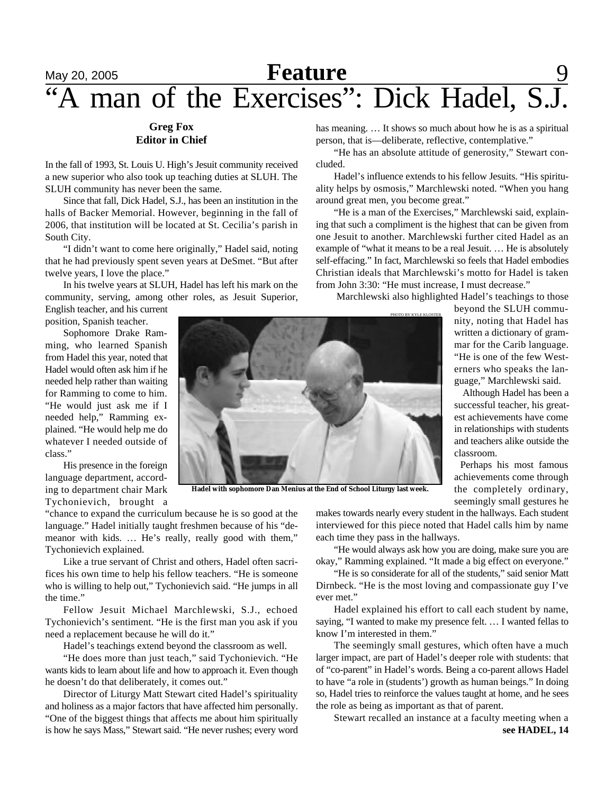# **May 20, 2005 Feature** 9 "A man of the Exercises": Dick Hadel, S.J.

## **Greg Fox Editor in Chief**

In the fall of 1993, St. Louis U. High's Jesuit community received a new superior who also took up teaching duties at SLUH. The SLUH community has never been the same.

Since that fall, Dick Hadel, S.J., has been an institution in the halls of Backer Memorial. However, beginning in the fall of 2006, that institution will be located at St. Cecilia's parish in South City.

"I didn't want to come here originally," Hadel said, noting that he had previously spent seven years at DeSmet. "But after twelve years, I love the place."

In his twelve years at SLUH, Hadel has left his mark on the community, serving, among other roles, as Jesuit Superior, English teacher, and his current

position, Spanish teacher.

Sophomore Drake Ramming, who learned Spanish from Hadel this year, noted that Hadel would often ask him if he needed help rather than waiting for Ramming to come to him. "He would just ask me if I needed help," Ramming explained. "He would help me do whatever I needed outside of class."

His presence in the foreign language department, according to department chair Mark Tychonievich, brought a

"chance to expand the curriculum because he is so good at the language." Hadel initially taught freshmen because of his "demeanor with kids. … He's really, really good with them," Tychonievich explained.

Like a true servant of Christ and others, Hadel often sacrifices his own time to help his fellow teachers. "He is someone who is willing to help out," Tychonievich said. "He jumps in all the time."

Fellow Jesuit Michael Marchlewski, S.J., echoed Tychonievich's sentiment. "He is the first man you ask if you need a replacement because he will do it."

Hadel's teachings extend beyond the classroom as well.

"He does more than just teach," said Tychonievich. "He wants kids to learn about life and how to approach it. Even though he doesn't do that deliberately, it comes out."

Director of Liturgy Matt Stewart cited Hadel's spirituality and holiness as a major factors that have affected him personally. "One of the biggest things that affects me about him spiritually is how he says Mass," Stewart said. "He never rushes; every word has meaning. ... It shows so much about how he is as a spiritual person, that is—deliberate, reflective, contemplative."

"He has an absolute attitude of generosity," Stewart concluded.

Hadel's influence extends to his fellow Jesuits. "His spirituality helps by osmosis," Marchlewski noted. "When you hang around great men, you become great."

"He is a man of the Exercises," Marchlewski said, explaining that such a compliment is the highest that can be given from one Jesuit to another. Marchlewski further cited Hadel as an example of "what it means to be a real Jesuit. … He is absolutely self-effacing." In fact, Marchlewski so feels that Hadel embodies Christian ideals that Marchlewski's motto for Hadel is taken from John 3:30: "He must increase, I must decrease."

PHOTO BY KYLE KLOSTER

Marchlewski also highlighted Hadel's teachings to those

beyond the SLUH community, noting that Hadel has written a dictionary of grammar for the Carib language. "He is one of the few Westerners who speaks the language," Marchlewski said.

 Although Hadel has been a successful teacher, his greatest achievements have come in relationships with students and teachers alike outside the classroom.

Perhaps his most famous achievements come through the completely ordinary, seemingly small gestures he

**Hadel with sophomore Dan Menius at the End of School Liturgy last week.**

makes towards nearly every student in the hallways. Each student interviewed for this piece noted that Hadel calls him by name each time they pass in the hallways.

"He would always ask how you are doing, make sure you are okay," Ramming explained. "It made a big effect on everyone."

"He is so considerate for all of the students," said senior Matt Dirnbeck. "He is the most loving and compassionate guy I've ever met."

Hadel explained his effort to call each student by name, saying, "I wanted to make my presence felt. … I wanted fellas to know I'm interested in them."

The seemingly small gestures, which often have a much larger impact, are part of Hadel's deeper role with students: that of "co-parent" in Hadel's words. Being a co-parent allows Hadel to have "a role in (students') growth as human beings." In doing so, Hadel tries to reinforce the values taught at home, and he sees the role as being as important as that of parent.

Stewart recalled an instance at a faculty meeting when a **see HADEL, 14**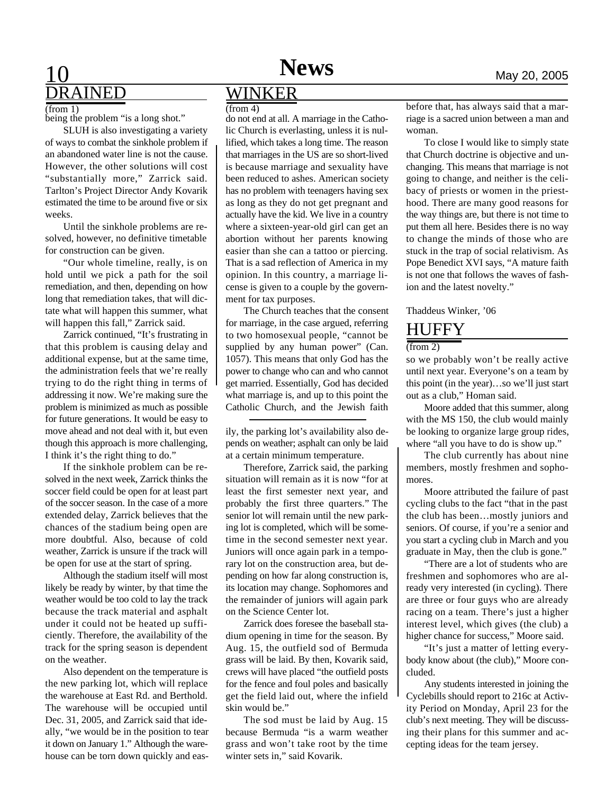# **10 News** May 20, 2005 DRAINED

(from 1)

being the problem "is a long shot."

SLUH is also investigating a variety of ways to combat the sinkhole problem if an abandoned water line is not the cause. However, the other solutions will cost "substantially more," Zarrick said. Tarlton's Project Director Andy Kovarik estimated the time to be around five or six weeks.

Until the sinkhole problems are resolved, however, no definitive timetable for construction can be given.

"Our whole timeline, really, is on hold until we pick a path for the soil remediation, and then, depending on how long that remediation takes, that will dictate what will happen this summer, what will happen this fall," Zarrick said.

Zarrick continued, "It's frustrating in that this problem is causing delay and additional expense, but at the same time, the administration feels that we're really trying to do the right thing in terms of addressing it now. We're making sure the problem is minimized as much as possible for future generations. It would be easy to move ahead and not deal with it, but even though this approach is more challenging, I think it's the right thing to do."

If the sinkhole problem can be resolved in the next week, Zarrick thinks the soccer field could be open for at least part of the soccer season. In the case of a more extended delay, Zarrick believes that the chances of the stadium being open are more doubtful. Also, because of cold weather, Zarrick is unsure if the track will be open for use at the start of spring.

Although the stadium itself will most likely be ready by winter, by that time the weather would be too cold to lay the track because the track material and asphalt under it could not be heated up sufficiently. Therefore, the availability of the track for the spring season is dependent on the weather.

Also dependent on the temperature is the new parking lot, which will replace the warehouse at East Rd. and Berthold. The warehouse will be occupied until Dec. 31, 2005, and Zarrick said that ideally, "we would be in the position to tear it down on January 1." Although the warehouse can be torn down quickly and eas-

# WINKER

do not end at all. A marriage in the Catholic Church is everlasting, unless it is nullified, which takes a long time. The reason that marriages in the US are so short-lived is because marriage and sexuality have been reduced to ashes. American society has no problem with teenagers having sex as long as they do not get pregnant and actually have the kid. We live in a country where a sixteen-year-old girl can get an abortion without her parents knowing easier than she can a tattoo or piercing. That is a sad reflection of America in my opinion. In this country, a marriage license is given to a couple by the government for tax purposes.

The Church teaches that the consent for marriage, in the case argued, referring to two homosexual people, "cannot be supplied by any human power" (Can. 1057). This means that only God has the power to change who can and who cannot get married. Essentially, God has decided what marriage is, and up to this point the Catholic Church, and the Jewish faith

ily, the parking lot's availability also depends on weather; asphalt can only be laid at a certain minimum temperature.

Therefore, Zarrick said, the parking situation will remain as it is now "for at least the first semester next year, and probably the first three quarters." The senior lot will remain until the new parking lot is completed, which will be sometime in the second semester next year. Juniors will once again park in a temporary lot on the construction area, but depending on how far along construction is, its location may change. Sophomores and the remainder of juniors will again park on the Science Center lot.

Zarrick does foresee the baseball stadium opening in time for the season. By Aug. 15, the outfield sod of Bermuda grass will be laid. By then, Kovarik said, crews will have placed "the outfield posts for the fence and foul poles and basically get the field laid out, where the infield skin would be."

The sod must be laid by Aug. 15 because Bermuda "is a warm weather grass and won't take root by the time winter sets in," said Kovarik.

(from 4) before that, has always said that a marriage is a sacred union between a man and woman.

> To close I would like to simply state that Church doctrine is objective and unchanging. This means that marriage is not going to change, and neither is the celibacy of priests or women in the priesthood. There are many good reasons for the way things are, but there is not time to put them all here. Besides there is no way to change the minds of those who are stuck in the trap of social relativism. As Pope Benedict XVI says, "A mature faith is not one that follows the waves of fashion and the latest novelty."

Thaddeus Winker, '06

# HUFFY

(from 2)

so we probably won't be really active until next year. Everyone's on a team by this point (in the year)…so we'll just start out as a club," Homan said.

Moore added that this summer, along with the MS 150, the club would mainly be looking to organize large group rides, where "all you have to do is show up."

The club currently has about nine members, mostly freshmen and sophomores.

Moore attributed the failure of past cycling clubs to the fact "that in the past the club has been…mostly juniors and seniors. Of course, if you're a senior and you start a cycling club in March and you graduate in May, then the club is gone."

"There are a lot of students who are freshmen and sophomores who are already very interested (in cycling). There are three or four guys who are already racing on a team. There's just a higher interest level, which gives (the club) a higher chance for success," Moore said.

"It's just a matter of letting everybody know about (the club)," Moore concluded.

Any students interested in joining the Cyclebills should report to 216c at Activity Period on Monday, April 23 for the club's next meeting. They will be discussing their plans for this summer and accepting ideas for the team jersey.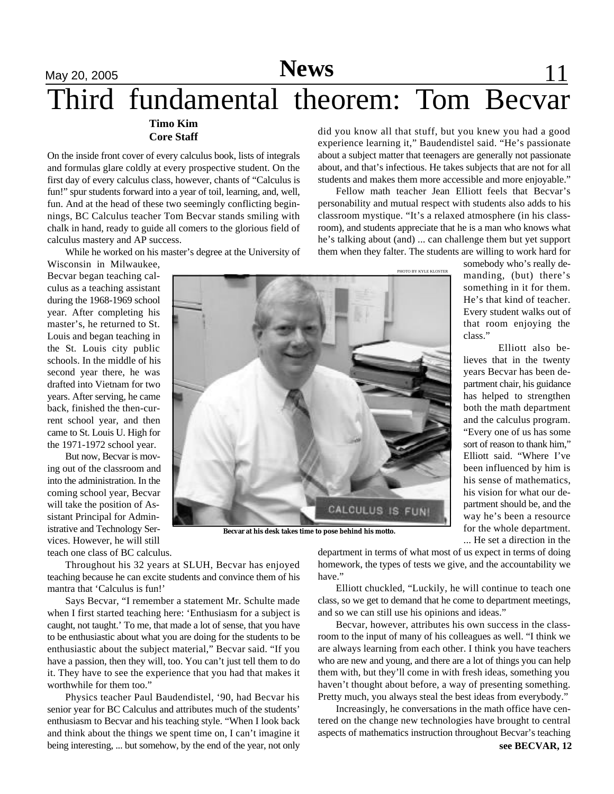# May 20, 2005 **News** 11 Third fundamental theorem: Tom Becvar **Timo Kim**

# **Core Staff**

On the inside front cover of every calculus book, lists of integrals and formulas glare coldly at every prospective student. On the first day of every calculus class, however, chants of "Calculus is fun!" spur students forward into a year of toil, learning, and, well, fun. And at the head of these two seemingly conflicting beginnings, BC Calculus teacher Tom Becvar stands smiling with chalk in hand, ready to guide all comers to the glorious field of calculus mastery and AP success.

While he worked on his master's degree at the University of

Wisconsin in Milwaukee, Becvar began teaching calculus as a teaching assistant during the 1968-1969 school year. After completing his master's, he returned to St. Louis and began teaching in the St. Louis city public schools. In the middle of his second year there, he was drafted into Vietnam for two years. After serving, he came back, finished the then-current school year, and then came to St. Louis U. High for the 1971-1972 school year.

But now, Becvar is moving out of the classroom and into the administration. In the coming school year, Becvar will take the position of Assistant Principal for Administrative and Technology Services. However, he will still teach one class of BC calculus.

CALCULUS IS FUNI

**Becvar at his desk takes time to pose behind his motto.**

Throughout his 32 years at SLUH, Becvar has enjoyed teaching because he can excite students and convince them of his mantra that 'Calculus is fun!'

Says Becvar, "I remember a statement Mr. Schulte made when I first started teaching here: 'Enthusiasm for a subject is caught, not taught.' To me, that made a lot of sense, that you have to be enthusiastic about what you are doing for the students to be enthusiastic about the subject material," Becvar said. "If you have a passion, then they will, too. You can't just tell them to do it. They have to see the experience that you had that makes it worthwhile for them too."

Physics teacher Paul Baudendistel, '90, had Becvar his senior year for BC Calculus and attributes much of the students' enthusiasm to Becvar and his teaching style. "When I look back and think about the things we spent time on, I can't imagine it being interesting, ... but somehow, by the end of the year, not only

did you know all that stuff, but you knew you had a good experience learning it," Baudendistel said. "He's passionate about a subject matter that teenagers are generally not passionate about, and that's infectious. He takes subjects that are not for all students and makes them more accessible and more enjoyable."

Fellow math teacher Jean Elliott feels that Becvar's personability and mutual respect with students also adds to his classroom mystique. "It's a relaxed atmosphere (in his classroom), and students appreciate that he is a man who knows what he's talking about (and) ... can challenge them but yet support them when they falter. The students are willing to work hard for

PHOTO BY KYLE KLOSTER

somebody who's really demanding, (but) there's something in it for them. He's that kind of teacher. Every student walks out of that room enjoying the class."

Elliott also believes that in the twenty years Becvar has been department chair, his guidance has helped to strengthen both the math department and the calculus program. "Every one of us has some sort of reason to thank him," Elliott said. "Where I've been influenced by him is his sense of mathematics, his vision for what our department should be, and the way he's been a resource for the whole department. ... He set a direction in the

department in terms of what most of us expect in terms of doing homework, the types of tests we give, and the accountability we have."

Elliott chuckled, "Luckily, he will continue to teach one class, so we get to demand that he come to department meetings, and so we can still use his opinions and ideas."

Becvar, however, attributes his own success in the classroom to the input of many of his colleagues as well. "I think we are always learning from each other. I think you have teachers who are new and young, and there are a lot of things you can help them with, but they'll come in with fresh ideas, something you haven't thought about before, a way of presenting something. Pretty much, you always steal the best ideas from everybody."

**see BECVAR, 12** Increasingly, he conversations in the math office have centered on the change new technologies have brought to central aspects of mathematics instruction throughout Becvar's teaching

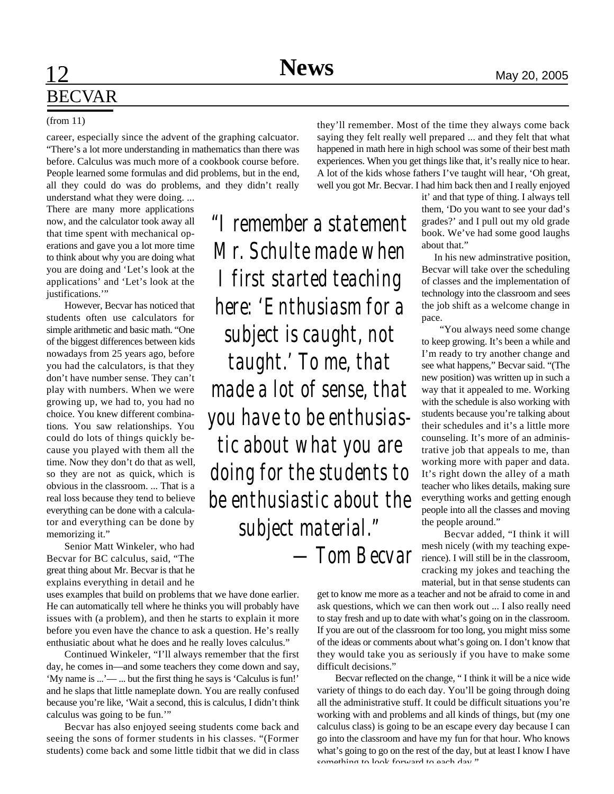*"I remember a statement*

*Mr. Schulte made when*

*I first started teaching*

*here: 'Enthusiasm for a*

*subject is caught, not*

*taught.' To me, that*

*made a lot of sense, that*

*you have to be enthusias-*

*tic about what you are*

*doing for the students to*

*be enthusiastic about the*

*subject material."*

# **12 News** May 20, 2005 BECVAR

### (from 11)

career, especially since the advent of the graphing calcuator. "There's a lot more understanding in mathematics than there was before. Calculus was much more of a cookbook course before. People learned some formulas and did problems, but in the end, all they could do was do problems, and they didn't really

understand what they were doing. ... There are many more applications now, and the calculator took away all that time spent with mechanical operations and gave you a lot more time to think about why you are doing what you are doing and 'Let's look at the applications' and 'Let's look at the justifications."

However, Becvar has noticed that students often use calculators for simple arithmetic and basic math. "One of the biggest differences between kids nowadays from 25 years ago, before you had the calculators, is that they don't have number sense. They can't play with numbers. When we were growing up, we had to, you had no choice. You knew different combinations. You saw relationships. You could do lots of things quickly because you played with them all the time. Now they don't do that as well, so they are not as quick, which is obvious in the classroom. ... That is a real loss because they tend to believe everything can be done with a calculator and everything can be done by memorizing it."

Senior Matt Winkeler, who had Becvar for BC calculus, said, "The great thing about Mr. Becvar is that he explains everything in detail and he

uses examples that build on problems that we have done earlier. He can automatically tell where he thinks you will probably have issues with (a problem), and then he starts to explain it more before you even have the chance to ask a question. He's really enthusiatic about what he does and he really loves calculus."

Continued Winkeler, "I'll always remember that the first day, he comes in—and some teachers they come down and say, 'My name is ...'— ... but the first thing he says is 'Calculus is fun!' and he slaps that little nameplate down. You are really confused because you're like, 'Wait a second, this is calculus, I didn't think calculus was going to be fun.'"

Becvar has also enjoyed seeing students come back and seeing the sons of former students in his classes. "(Former students) come back and some little tidbit that we did in class they'll remember. Most of the time they always come back saying they felt really well prepared ... and they felt that what happened in math here in high school was some of their best math experiences. When you get things like that, it's really nice to hear. A lot of the kids whose fathers I've taught will hear, 'Oh great, well you got Mr. Becvar. I had him back then and I really enjoyed

> it' and that type of thing. I always tell them, 'Do you want to see your dad's grades?' and I pull out my old grade book. We've had some good laughs about that."

> In his new adminstrative position, Becvar will take over the scheduling of classes and the implementation of technology into the classroom and sees the job shift as a welcome change in pace.

> "You always need some change to keep growing. It's been a while and I'm ready to try another change and see what happens," Becvar said. "(The new position) was written up in such a way that it appealed to me. Working with the schedule is also working with students because you're talking about their schedules and it's a little more counseling. It's more of an administrative job that appeals to me, than working more with paper and data. It's right down the alley of a math teacher who likes details, making sure everything works and getting enough people into all the classes and moving the people around."

 Becvar added, "I think it will mesh nicely (with my teaching experience). I will still be in the classroom, cracking my jokes and teaching the material, but in that sense students can *—Tom Becvar*

get to know me more as a teacher and not be afraid to come in and ask questions, which we can then work out ... I also really need to stay fresh and up to date with what's going on in the classroom. If you are out of the classroom for too long, you might miss some of the ideas or comments about what's going on. I don't know that they would take you as seriously if you have to make some difficult decisions."

Becvar reflected on the change, " I think it will be a nice wide variety of things to do each day. You'll be going through doing all the administrative stuff. It could be difficult situations you're working with and problems and all kinds of things, but (my one calculus class) is going to be an escape every day because I can go into the classroom and have my fun for that hour. Who knows what's going to go on the rest of the day, but at least I know I have something to look forward to each day."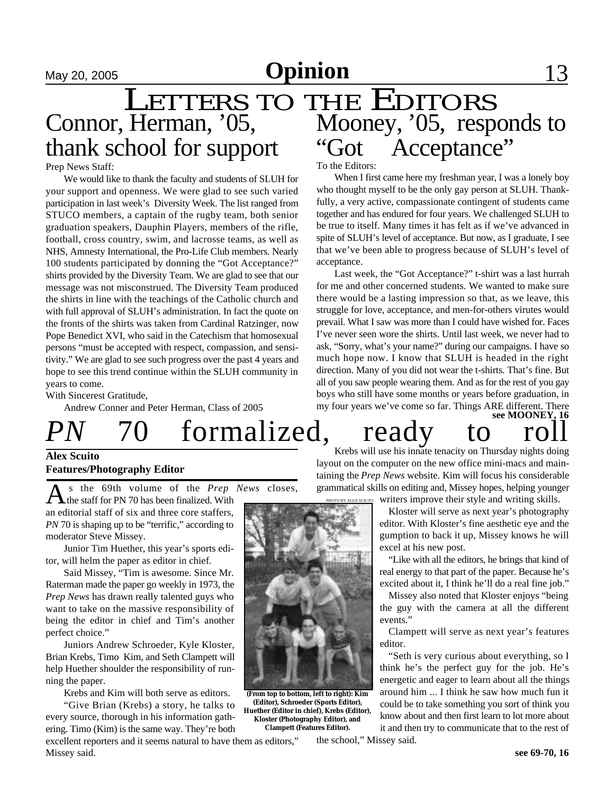# May 20, 2005 **Opinion** 13

# LETTERS TO THE EDITORS Mooney, '05, responds to "Got Acceptance" Connor, Herman, '05, thank school for support

#### Prep News Staff:

We would like to thank the faculty and students of SLUH for your support and openness. We were glad to see such varied participation in last week's Diversity Week. The list ranged from STUCO members, a captain of the rugby team, both senior graduation speakers, Dauphin Players, members of the rifle, football, cross country, swim, and lacrosse teams, as well as NHS, Amnesty International, the Pro-Life Club members. Nearly 100 students participated by donning the "Got Acceptance?" shirts provided by the Diversity Team. We are glad to see that our message was not misconstrued. The Diversity Team produced the shirts in line with the teachings of the Catholic church and with full approval of SLUH's administration. In fact the quote on the fronts of the shirts was taken from Cardinal Ratzinger, now Pope Benedict XVI, who said in the Catechism that homosexual persons "must be accepted with respect, compassion, and sensitivity." We are glad to see such progress over the past 4 years and hope to see this trend continue within the SLUH community in years to come.

With Sincerest Gratitude,

Andrew Conner and Peter Herman, Class of 2005

# *PN* 70 formalized, ready to ro

### **Alex Scuito Features/Photography Editor**

 $A<sub>th</sub>$  is the 69th volume of the *Prep*<br>the staff for PN 70 has been finalized. With s the 69th volume of the *Prep News* closes, an editorial staff of six and three core staffers, *PN* 70 is shaping up to be "terrific," according to moderator Steve Missey.

Junior Tim Huether, this year's sports editor, will helm the paper as editor in chief.

Said Missey, "Tim is awesome. Since Mr. Raterman made the paper go weekly in 1973, the *Prep News* has drawn really talented guys who want to take on the massive responsibility of being the editor in chief and Tim's another perfect choice."

Juniors Andrew Schroeder, Kyle Kloster, Brian Krebs, Timo Kim, and Seth Clampett will help Huether shoulder the responsibility of running the paper.

Krebs and Kim will both serve as editors.

"Give Brian (Krebs) a story, he talks to every source, thorough in his information gathering. Timo (Kim) is the same way. They're both

excellent reporters and it seems natural to have them as editors," Missey said.

To the Editors:

When I first came here my freshman year, I was a lonely boy who thought myself to be the only gay person at SLUH. Thankfully, a very active, compassionate contingent of students came together and has endured for four years. We challenged SLUH to be true to itself. Many times it has felt as if we've advanced in spite of SLUH's level of acceptance. But now, as I graduate, I see that we've been able to progress because of SLUH's level of acceptance.

Last week, the "Got Acceptance?" t-shirt was a last hurrah for me and other concerned students. We wanted to make sure there would be a lasting impression so that, as we leave, this struggle for love, acceptance, and men-for-others virutes would prevail. What I saw was more than I could have wished for. Faces I've never seen wore the shirts. Until last week, we never had to ask, "Sorry, what's your name?" during our campaigns. I have so much hope now. I know that SLUH is headed in the right direction. Many of you did not wear the t-shirts. That's fine. But all of you saw people wearing them. And as for the rest of you gay boys who still have some months or years before graduation, in my four years we've come so far. Things ARE different. There **see MOONEY, 16**

Krebs will use his innate tenacity on Thursday nights doing layout on the computer on the new office mini-macs and maintaining the *Prep News* website. Kim will focus his considerable grammatical skills on editing and, Missey hopes, helping younger

writers improve their style and writing skills. PHOTO BY ALEX SCIUTO

> Kloster will serve as next year's photography editor. With Kloster's fine aesthetic eye and the gumption to back it up, Missey knows he will excel at his new post.

> "Like with all the editors, he brings that kind of real energy to that part of the paper. Because he's excited about it, I think he'll do a real fine job."

> Missey also noted that Kloster enjoys "being the guy with the camera at all the different events."

> Clampett will serve as next year's features editor.

> "Seth is very curious about everything, so I think he's the perfect guy for the job. He's energetic and eager to learn about all the things around him ... I think he saw how much fun it could be to take something you sort of think you know about and then first learn to lot more about it and then try to communicate that to the rest of

the school," Missey said.



**(From top to bottom, left to right): Kim (Editor), Schroeder (Sports Editor), Huether (Editor in chief), Krebs (Editor), Kloster (Photography Editor), and Clampett (Features Editor).**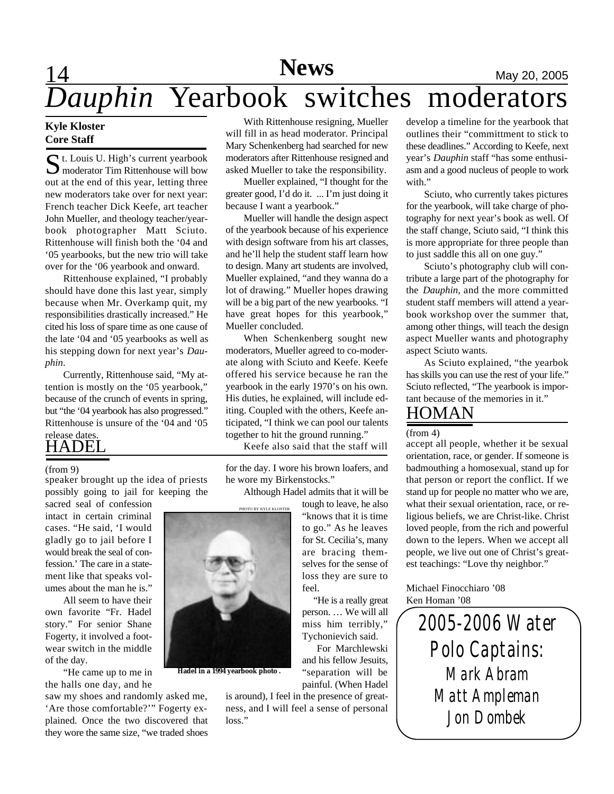# 14 **News** May 20, 2005 *Dauphin* Yearbook switches moderators

### **Kyle Kloster Core Staff**

St. Louis U. High's current yearbook<br>
Smoderator Tim Rittenhouse will bow **M** moderator Tim Rittenhouse will bow out at the end of this year, letting three new moderators take over for next year: French teacher Dick Keefe, art teacher John Mueller, and theology teacher/yearbook photographer Matt Sciuto. Rittenhouse will finish both the '04 and '05 yearbooks, but the new trio will take over for the '06 yearbook and onward.

Rittenhouse explained, "I probably should have done this last year, simply because when Mr. Overkamp quit, my responsibilities drastically increased." He cited his loss of spare time as one cause of the late '04 and '05 yearbooks as well as his stepping down for next year's *Dauphin*.

Currently, Rittenhouse said, "My attention is mostly on the '05 yearbook," because of the crunch of events in spring, but "the '04 yearbook has also progressed." Rittenhouse is unsure of the '04 and '05

# HADEL release dates.

#### (from 9)

speaker brought up the idea of priests possibly going to jail for keeping the

sacred seal of confession intact in certain criminal cases. "He said, 'I would gladly go to jail before I would break the seal of confession.' The care in a statement like that speaks volumes about the man he is."

All seem to have their own favorite "Fr. Hadel story." For senior Shane Fogerty, it involved a footwear switch in the middle of the day.

"He came up to me in the halls one day, and he

saw my shoes and randomly asked me, 'Are those comfortable?'" Fogerty explained. Once the two discovered that they wore the same size, "we traded shoes

With Rittenhouse resigning, Mueller will fill in as head moderator. Principal Mary Schenkenberg had searched for new moderators after Rittenhouse resigned and asked Mueller to take the responsibility.

Mueller explained, "I thought for the greater good, I'd do it. ... I'm just doing it because I want a yearbook."

Mueller will handle the design aspect of the yearbook because of his experience with design software from his art classes, and he'll help the student staff learn how to design. Many art students are involved, Mueller explained, "and they wanna do a lot of drawing." Mueller hopes drawing will be a big part of the new yearbooks. "I have great hopes for this yearbook," Mueller concluded.

When Schenkenberg sought new moderators, Mueller agreed to co-moderate along with Sciuto and Keefe. Keefe offered his service because he ran the yearbook in the early 1970's on his own. His duties, he explained, will include editing. Coupled with the others, Keefe anticipated, "I think we can pool our talents together to hit the ground running."

Keefe also said that the staff will

for the day. I wore his brown loafers, and he wore my Birkenstocks."

Although Hadel admits that it will be

tough to leave, he also "knows that it is time to go." As he leaves for St. Cecilia's, many are bracing themselves for the sense of loss they are sure to feel.

 "He is a really great person. … We will all miss him terribly," Tychonievich said.

For Marchlewski and his fellow Jesuits, "separation will be painful. (When Hadel

is around), I feel in the presence of greatness, and I will feel a sense of personal loss."

develop a timeline for the yearbook that outlines their "committment to stick to these deadlines." According to Keefe, next year's *Dauphin* staff "has some enthusiasm and a good nucleus of people to work with."

Sciuto, who currently takes pictures for the yearbook, will take charge of photography for next year's book as well. Of the staff change, Sciuto said, "I think this is more appropriate for three people than to just saddle this all on one guy."

Sciuto's photography club will contribute a large part of the photography for the *Dauphin*, and the more committed student staff members will attend a yearbook workshop over the summer that, among other things, will teach the design aspect Mueller wants and photography aspect Sciuto wants.

As Sciuto explained, "the yearbok has skills you can use the rest of your life." Sciuto reflected, "The yearbook is important because of the memories in it."

# HOMAN

(from 4)

accept all people, whether it be sexual orientation, race, or gender. If someone is badmouthing a homosexual, stand up for that person or report the conflict. If we stand up for people no matter who we are, what their sexual orientation, race, or religious beliefs, we are Christ-like. Christ loved people, from the rich and powerful down to the lepers. When we accept all people, we live out one of Christ's greatest teachings: "Love thy neighbor."

Michael Finocchiaro '08 Ken Homan '08

> *2005-2006 Water Polo Captains: Mark Abram Matt Ampleman Jon Dombek*

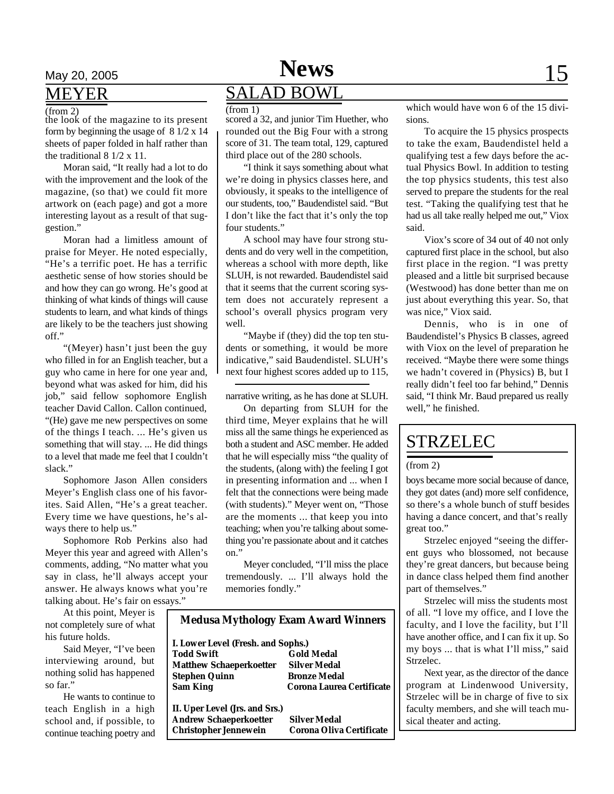## MEYER

## (from 2)

the look of the magazine to its present form by beginning the usage of 8 1/2 x 14 sheets of paper folded in half rather than the traditional 8 1/2 x 11.

Moran said, "It really had a lot to do with the improvement and the look of the magazine, (so that) we could fit more artwork on (each page) and got a more interesting layout as a result of that suggestion."

Moran had a limitless amount of praise for Meyer. He noted especially, "He's a terrific poet. He has a terrific aesthetic sense of how stories should be and how they can go wrong. He's good at thinking of what kinds of things will cause students to learn, and what kinds of things are likely to be the teachers just showing off."

"(Meyer) hasn't just been the guy who filled in for an English teacher, but a guy who came in here for one year and, beyond what was asked for him, did his job," said fellow sophomore English teacher David Callon. Callon continued, "(He) gave me new perspectives on some of the things I teach. ... He's given us something that will stay. ... He did things to a level that made me feel that I couldn't slack."

Sophomore Jason Allen considers Meyer's English class one of his favorites. Said Allen, "He's a great teacher. Every time we have questions, he's always there to help us."

Sophomore Rob Perkins also had Meyer this year and agreed with Allen's comments, adding, "No matter what you say in class, he'll always accept your answer. He always knows what you're talking about. He's fair on essays."

At this point, Meyer is not completely sure of what

his future holds. Said Meyer, "I've been interviewing around, but nothing solid has happened so far."

He wants to continue to teach English in a high school and, if possible, to continue teaching poetry and

# May 20, 2005 **News** 15 SALAD BOWL

(from 1)

scored a 32, and junior Tim Huether, who rounded out the Big Four with a strong score of 31. The team total, 129, captured third place out of the 280 schools.

"I think it says something about what we're doing in physics classes here, and obviously, it speaks to the intelligence of our students, too," Baudendistel said. "But I don't like the fact that it's only the top four students."

A school may have four strong students and do very well in the competition, whereas a school with more depth, like SLUH, is not rewarded. Baudendistel said that it seems that the current scoring system does not accurately represent a school's overall physics program very well.

"Maybe if (they) did the top ten students or something, it would be more indicative," said Baudendistel. SLUH's next four highest scores added up to 115,

narrative writing, as he has done at SLUH.

On departing from SLUH for the third time, Meyer explains that he will miss all the same things he experienced as both a student and ASC member. He added that he will especially miss "the quality of the students, (along with) the feeling I got in presenting information and ... when I felt that the connections were being made (with students)." Meyer went on, "Those are the moments ... that keep you into teaching; when you're talking about something you're passionate about and it catches on."

Meyer concluded, "I'll miss the place tremendously. ... I'll always hold the memories fondly."

| <b>Medusa Mythology Exam Award Winners</b> |                           |
|--------------------------------------------|---------------------------|
| I. Lower Level (Fresh. and Sophs.)         |                           |
| <b>Todd Swift</b>                          | <b>Gold Medal</b>         |
| <b>Matthew Schaeperkoetter</b>             | Silver Medal              |
| <b>Stephen Quinn</b>                       | <b>Bronze Medal</b>       |
| <b>Sam King</b>                            | Corona Laurea Certificate |
| II. Uper Level (Jrs. and Srs.)             |                           |
| <b>Andrew Schaeperkoetter</b>              | <b>Silver Medal</b>       |
| <b>Christopher Jennewein</b>               | Corona Oliva Certificate  |
|                                            |                           |

which would have won 6 of the 15 divisions.

To acquire the 15 physics prospects to take the exam, Baudendistel held a qualifying test a few days before the actual Physics Bowl. In addition to testing the top physics students, this test also served to prepare the students for the real test. "Taking the qualifying test that he had us all take really helped me out," Viox said.

Viox's score of 34 out of 40 not only captured first place in the school, but also first place in the region. "I was pretty pleased and a little bit surprised because (Westwood) has done better than me on just about everything this year. So, that was nice," Viox said.

Dennis, who is in one of Baudendistel's Physics B classes, agreed with Viox on the level of preparation he received. "Maybe there were some things we hadn't covered in (Physics) B, but I really didn't feel too far behind," Dennis said, "I think Mr. Baud prepared us really well," he finished.

# STRZELEC

#### (from 2)

boys became more social because of dance, they got dates (and) more self confidence, so there's a whole bunch of stuff besides having a dance concert, and that's really great too."

Strzelec enjoyed "seeing the different guys who blossomed, not because they're great dancers, but because being in dance class helped them find another part of themselves."

Strzelec will miss the students most of all. "I love my office, and I love the faculty, and I love the facility, but I'll have another office, and I can fix it up. So my boys ... that is what I'll miss," said Strzelec.

Next year, as the director of the dance program at Lindenwood University, Strzelec will be in charge of five to six faculty members, and she will teach musical theater and acting.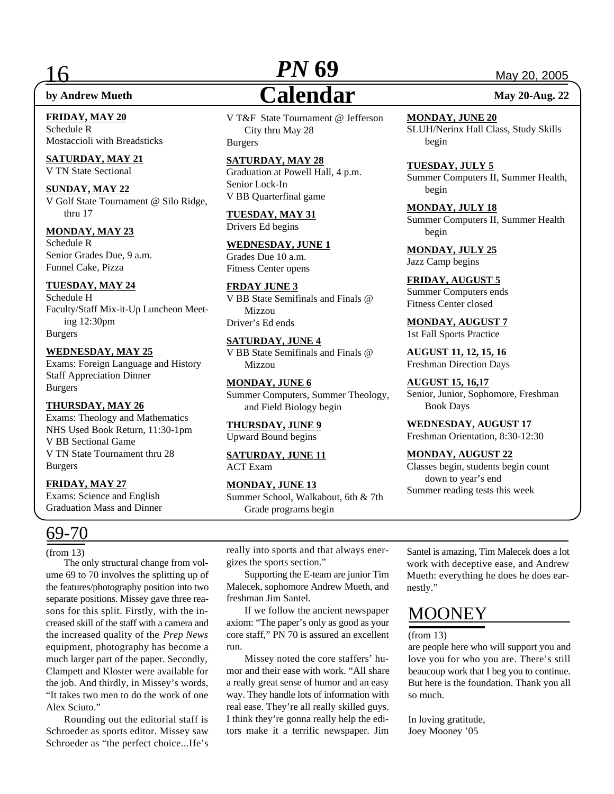**FRIDAY, MAY 20** Schedule R Mostaccioli with Breadsticks

**SATURDAY, MAY 21** V TN State Sectional

#### **SUNDAY, MAY 22** V Golf State Tournament @ Silo Ridge,

thru 17

## **MONDAY, MAY 23**

Schedule R Senior Grades Due, 9 a.m. Funnel Cake, Pizza

### **TUESDAY, MAY 24**

Schedule H Faculty/Staff Mix-it-Up Luncheon Meeting 12:30pm Burgers

### **WEDNESDAY, MAY 25**

Exams: Foreign Language and History Staff Appreciation Dinner Burgers

### **THURSDAY, MAY 26**

Exams: Theology and Mathematics NHS Used Book Return, 11:30-1pm V BB Sectional Game V TN State Tournament thru 28 Burgers

### **FRIDAY, MAY 27**

Exams: Science and English Graduation Mass and Dinner

# 69-70

(from 13)

The only structural change from volume 69 to 70 involves the splitting up of the features/photography position into two separate positions. Missey gave three reasons for this split. Firstly, with the increased skill of the staff with a camera and the increased quality of the *Prep News* equipment, photography has become a much larger part of the paper. Secondly, Clampett and Kloster were available for the job. And thirdly, in Missey's words, "It takes two men to do the work of one Alex Sciuto."

Rounding out the editorial staff is Schroeder as sports editor. Missey saw Schroeder as "the perfect choice...He's

# 16 **PN 69** May 20, 2005 **by Andrew Mueth**<br> **Calendar** May 20-Aug. 22 *PN* **69**

V T&F State Tournament @ Jefferson City thru May 28 Burgers

## **SATURDAY, MAY 28**

Graduation at Powell Hall, 4 p.m. Senior Lock-In V BB Quarterfinal game

**TUESDAY, MAY 31** Drivers Ed begins

**WEDNESDAY, JUNE 1** Grades Due 10 a.m. Fitness Center opens

**FRDAY JUNE 3** V BB State Semifinals and Finals @ Mizzou Driver's Ed ends

# **SATURDAY, JUNE 4**

V BB State Semifinals and Finals @ Mizzou

**MONDAY, JUNE 6** Summer Computers, Summer Theology, and Field Biology begin

**THURSDAY, JUNE 9** Upward Bound begins

**SATURDAY, JUNE 11** ACT Exam

**MONDAY, JUNE 13** Summer School, Walkabout, 6th & 7th Grade programs begin

**MONDAY, JUNE 20** SLUH/Nerinx Hall Class, Study Skills begin

**TUESDAY, JULY 5** Summer Computers II, Summer Health,

**MONDAY, JULY 18** Summer Computers II, Summer Health begin

**MONDAY, JULY 25** Jazz Camp begins

begin

**FRIDAY, AUGUST 5** Summer Computers ends Fitness Center closed

**MONDAY, AUGUST 7** 1st Fall Sports Practice

**AUGUST 11, 12, 15, 16** Freshman Direction Days

**AUGUST 15, 16,17** Senior, Junior, Sophomore, Freshman Book Days

**WEDNESDAY, AUGUST 17** Freshman Orientation, 8:30-12:30

## **MONDAY, AUGUST 22**

Classes begin, students begin count down to year's end Summer reading tests this week

really into sports and that always energizes the sports section."

Supporting the E-team are junior Tim Malecek, sophomore Andrew Mueth, and freshman Jim Santel.

If we follow the ancient newspaper axiom: "The paper's only as good as your core staff," PN 70 is assured an excellent run.

Missey noted the core staffers' humor and their ease with work. "All share a really great sense of humor and an easy way. They handle lots of information with real ease. They're all really skilled guys. I think they're gonna really help the editors make it a terrific newspaper. Jim Santel is amazing, Tim Malecek does a lot work with deceptive ease, and Andrew Mueth: everything he does he does earnestly."

# MOONEY

#### (from 13)

are people here who will support you and love you for who you are. There's still beaucoup work that I beg you to continue. But here is the foundation. Thank you all so much.

In loving gratitude, Joey Mooney '05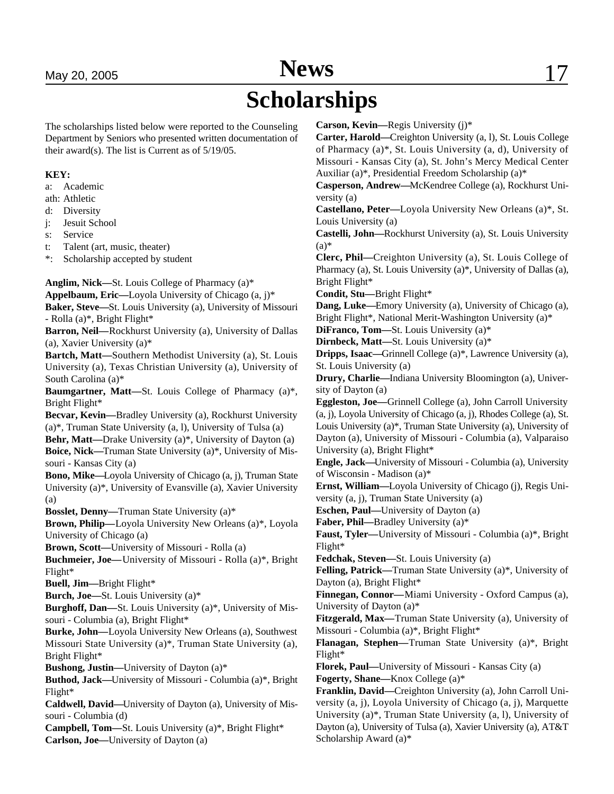# May 20, 2005 **News** 17

# **Scholarships**

The scholarships listed below were reported to the Counseling Department by Seniors who presented written documentation of their award(s). The list is Current as of 5/19/05.

### **KEY:**

a: Academic

ath: Athletic

d: Diversity

j: Jesuit School

s: Service

t: Talent (art, music, theater)

\*: Scholarship accepted by student

**Anglim, Nick—**St. Louis College of Pharmacy (a)\*

**Appelbaum, Eric—**Loyola University of Chicago (a, j)\*

**Baker, Steve—**St. Louis University (a), University of Missouri - Rolla (a)\*, Bright Flight\*

**Barron, Neil—**Rockhurst University (a), University of Dallas (a), Xavier University (a)\*

**Bartch, Matt—**Southern Methodist University (a), St. Louis University (a), Texas Christian University (a), University of South Carolina (a)\*

**Baumgartner, Matt—**St. Louis College of Pharmacy (a)\*, Bright Flight\*

**Becvar, Kevin—**Bradley University (a), Rockhurst University (a)\*, Truman State University (a, l), University of Tulsa (a)

**Behr, Matt—**Drake University (a)\*, University of Dayton (a) **Boice, Nick—**Truman State University (a)\*, University of Missouri - Kansas City (a)

**Bono, Mike—**Loyola University of Chicago (a, j), Truman State University (a)\*, University of Evansville (a), Xavier University (a)

**Bosslet, Denny—**Truman State University (a)\*

**Brown, Philip—**Loyola University New Orleans (a)\*, Loyola University of Chicago (a)

**Brown, Scott—**University of Missouri - Rolla (a)

**Buchmeier, Joe—**University of Missouri - Rolla (a)\*, Bright Flight\*

**Buell, Jim—**Bright Flight\*

**Burch, Joe—**St. Louis University (a)\*

**Burghoff, Dan—**St. Louis University (a)\*, University of Missouri - Columbia (a), Bright Flight\*

**Burke, John—**Loyola University New Orleans (a), Southwest Missouri State University (a)\*, Truman State University (a), Bright Flight\*

**Bushong, Justin—**University of Dayton (a)\*

**Buthod, Jack—**University of Missouri - Columbia (a)\*, Bright Flight\*

**Caldwell, David—**University of Dayton (a), University of Missouri - Columbia (d)

**Campbell, Tom—**St. Louis University (a)\*, Bright Flight\* **Carlson, Joe—**University of Dayton (a)

**Carson, Kevin—**Regis University (j)\*

**Carter, Harold—**Creighton University (a, l), St. Louis College of Pharmacy (a)\*, St. Louis University (a, d), University of Missouri - Kansas City (a), St. John's Mercy Medical Center Auxiliar (a)\*, Presidential Freedom Scholarship (a)\*

**Casperson, Andrew—**McKendree College (a), Rockhurst University (a)

**Castellano, Peter—**Loyola University New Orleans (a)\*, St. Louis University (a)

**Castelli, John—**Rockhurst University (a), St. Louis University  $(a)$ \*

**Clerc, Phil—**Creighton University (a), St. Louis College of Pharmacy (a), St. Louis University (a)\*, University of Dallas (a), Bright Flight\*

**Condit, Stu—**Bright Flight\*

**Dang, Luke—**Emory University (a), University of Chicago (a), Bright Flight\*, National Merit-Washington University (a)\*

**DiFranco, Tom—**St. Louis University (a)\*

**Dirnbeck, Matt—**St. Louis University (a)\*

**Dripps, Isaac—**Grinnell College (a)\*, Lawrence University (a), St. Louis University (a)

**Drury, Charlie—**Indiana University Bloomington (a), University of Dayton (a)

**Eggleston, Joe—**Grinnell College (a), John Carroll University (a, j), Loyola University of Chicago (a, j), Rhodes College (a), St. Louis University (a)\*, Truman State University (a), University of Dayton (a), University of Missouri - Columbia (a), Valparaiso University (a), Bright Flight\*

**Engle, Jack—**University of Missouri - Columbia (a), University of Wisconsin - Madison (a)\*

**Ernst, William—**Loyola University of Chicago (j), Regis University (a, j), Truman State University (a)

**Eschen, Paul—**University of Dayton (a)

**Faber, Phil—**Bradley University (a)\*

**Faust, Tyler—**University of Missouri - Columbia (a)\*, Bright Flight\*

**Fedchak, Steven—**St. Louis University (a)

**Felling, Patrick—**Truman State University (a)\*, University of Dayton (a), Bright Flight\*

**Finnegan, Connor—**Miami University - Oxford Campus (a), University of Dayton (a)\*

**Fitzgerald, Max—**Truman State University (a), University of Missouri - Columbia (a)\*, Bright Flight\*

**Flanagan, Stephen—**Truman State University (a)\*, Bright Flight\*

**Florek, Paul—**University of Missouri - Kansas City (a) **Fogerty, Shane—**Knox College (a)\*

**Franklin, David—**Creighton University (a), John Carroll University (a, j), Loyola University of Chicago (a, j), Marquette University (a)\*, Truman State University (a, l), University of Dayton (a), University of Tulsa (a), Xavier University (a), AT&T Scholarship Award (a)\*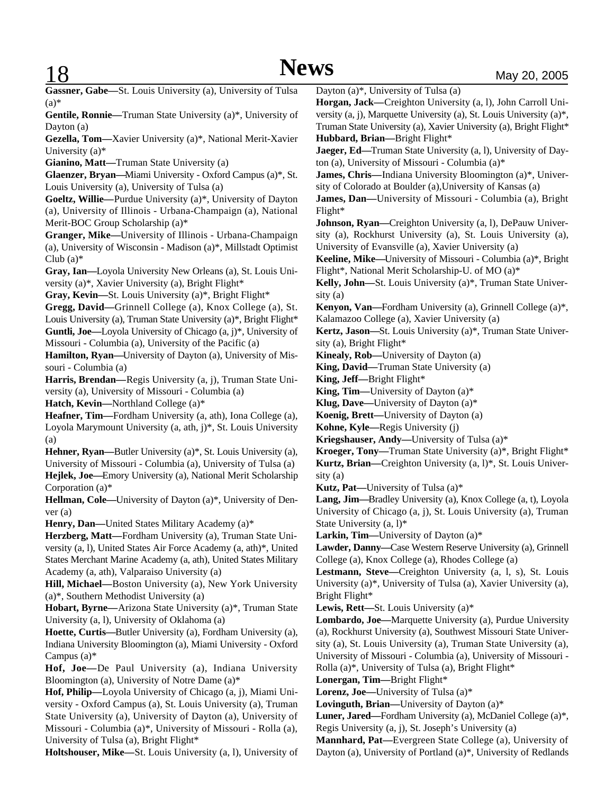**Gassner, Gabe—**St. Louis University (a), University of Tulsa  $(a)$ \*

**Gentile, Ronnie—**Truman State University (a)\*, University of Dayton (a)

**Gezella, Tom—**Xavier University (a)\*, National Merit-Xavier University (a)\*

**Gianino, Matt—**Truman State University (a)

**Glaenzer, Bryan—**Miami University - Oxford Campus (a)\*, St. Louis University (a), University of Tulsa (a)

**Goeltz, Willie—**Purdue University (a)\*, University of Dayton (a), University of Illinois - Urbana-Champaign (a), National Merit-BOC Group Scholarship (a)\*

**Granger, Mike—**University of Illinois - Urbana-Champaign (a), University of Wisconsin - Madison (a)\*, Millstadt Optimist Club  $(a)$ <sup>\*</sup>

**Gray, Ian—**Loyola University New Orleans (a), St. Louis University (a)\*, Xavier University (a), Bright Flight\*

**Gray, Kevin—**St. Louis University (a)\*, Bright Flight\*

**Gregg, David—**Grinnell College (a), Knox College (a), St. Louis University (a), Truman State University (a)\*, Bright Flight\* **Guntli, Joe—**Loyola University of Chicago (a, j)\*, University of Missouri - Columbia (a), University of the Pacific (a)

**Hamilton, Ryan—**University of Dayton (a), University of Missouri - Columbia (a)

**Harris, Brendan—**Regis University (a, j), Truman State University (a), University of Missouri - Columbia (a)

**Hatch, Kevin—**Northland College (a)\*

**Heafner, Tim—**Fordham University (a, ath), Iona College (a), Loyola Marymount University (a, ath, j)\*, St. Louis University (a)

**Hehner, Ryan—**Butler University (a)\*, St. Louis University (a), University of Missouri - Columbia (a), University of Tulsa (a) **Hejlek, Joe—**Emory University (a), National Merit Scholarship Corporation (a)\*

**Hellman, Cole—**University of Dayton (a)\*, University of Denver (a)

**Henry, Dan—**United States Military Academy (a)\*

**Herzberg, Matt—**Fordham University (a), Truman State University (a, l), United States Air Force Academy (a, ath)\*, United States Merchant Marine Academy (a, ath), United States Military Academy (a, ath), Valparaiso University (a)

**Hill, Michael—**Boston University (a), New York University (a)\*, Southern Methodist University (a)

**Hobart, Byrne—**Arizona State University (a)\*, Truman State University (a, l), University of Oklahoma (a)

**Hoette, Curtis—**Butler University (a), Fordham University (a), Indiana University Bloomington (a), Miami University - Oxford Campus (a)\*

**Hof, Joe—**De Paul University (a), Indiana University Bloomington (a), University of Notre Dame (a)\*

**Hof, Philip—**Loyola University of Chicago (a, j), Miami University - Oxford Campus (a), St. Louis University (a), Truman State University (a), University of Dayton (a), University of Missouri - Columbia (a)\*, University of Missouri - Rolla (a), University of Tulsa (a), Bright Flight\*

**Holtshouser, Mike—**St. Louis University (a, l), University of

Dayton (a)\*, University of Tulsa (a)

**Horgan, Jack—**Creighton University (a, l), John Carroll University (a, j), Marquette University (a), St. Louis University (a)\*, Truman State University (a), Xavier University (a), Bright Flight\* **Hubbard, Brian—**Bright Flight\*

**Jaeger, Ed—**Truman State University (a, l), University of Dayton (a), University of Missouri - Columbia (a)\*

**James, Chris—**Indiana University Bloomington (a)\*, University of Colorado at Boulder (a),University of Kansas (a)

**James, Dan—**University of Missouri - Columbia (a), Bright Flight\*

**Johnson, Ryan—**Creighton University (a, l), DePauw University (a), Rockhurst University (a), St. Louis University (a), University of Evansville (a), Xavier University (a)

**Keeline, Mike—**University of Missouri - Columbia (a)\*, Bright Flight\*, National Merit Scholarship-U. of MO (a)\*

**Kelly, John—**St. Louis University (a)\*, Truman State University (a)

**Kenyon, Van—**Fordham University (a), Grinnell College (a)\*, Kalamazoo College (a), Xavier University (a)

**Kertz, Jason—**St. Louis University (a)\*, Truman State University (a), Bright Flight\*

**Kinealy, Rob—**University of Dayton (a)

**King, David—**Truman State University (a)

**King, Jeff—**Bright Flight\*

**King, Tim—**University of Dayton (a)\*

**Klug, Dave—**University of Dayton (a)\*

**Koenig, Brett—**University of Dayton (a)

**Kohne, Kyle—**Regis University (j)

**Kriegshauser, Andy—**University of Tulsa (a)\*

**Kroeger, Tony—**Truman State University (a)\*, Bright Flight\* **Kurtz, Brian—**Creighton University (a, l)\*, St. Louis University (a)

**Kutz, Pat—**University of Tulsa (a)\*

**Lang, Jim—**Bradley University (a), Knox College (a, t), Loyola University of Chicago (a, j), St. Louis University (a), Truman State University (a, l)\*

**Larkin, Tim—**University of Dayton (a)\*

**Lawder, Danny—**Case Western Reserve University (a), Grinnell College (a), Knox College (a), Rhodes College (a)

**Lestmann, Steve—**Creighton University (a, l, s), St. Louis University (a)\*, University of Tulsa (a), Xavier University (a), Bright Flight\*

**Lewis, Rett—**St. Louis University (a)\*

**Lombardo, Joe—**Marquette University (a), Purdue University (a), Rockhurst University (a), Southwest Missouri State University (a), St. Louis University (a), Truman State University (a), University of Missouri - Columbia (a), University of Missouri -

Rolla (a)\*, University of Tulsa (a), Bright Flight\*

**Lonergan, Tim—**Bright Flight\*

**Lorenz, Joe—**University of Tulsa (a)\*

**Lovinguth, Brian—**University of Dayton (a)\*

**Luner, Jared—**Fordham University (a), McDaniel College (a)\*,

Regis University (a, j), St. Joseph's University (a)

**Mannhard, Pat—**Evergreen State College (a), University of Dayton (a), University of Portland (a)\*, University of Redlands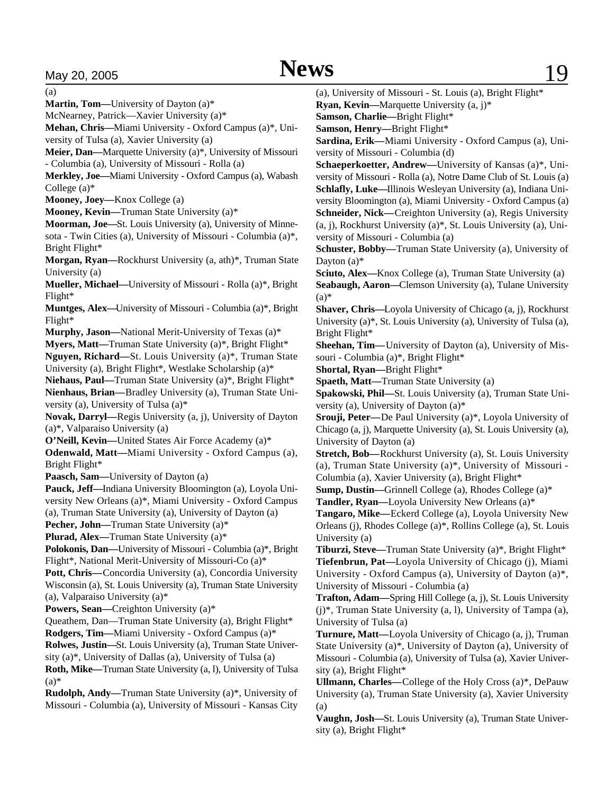(a)

**Martin, Tom—**University of Dayton (a)\*

McNearney, Patrick—Xavier University (a)\*

**Mehan, Chris—**Miami University - Oxford Campus (a)\*, University of Tulsa (a), Xavier University (a)

**Meier, Dan—**Marquette University (a)\*, University of Missouri - Columbia (a), University of Missouri - Rolla (a)

**Merkley, Joe—**Miami University - Oxford Campus (a), Wabash College (a)\*

**Mooney, Joey—**Knox College (a)

**Mooney, Kevin—**Truman State University (a)\*

**Moorman, Joe—**St. Louis University (a), University of Minnesota - Twin Cities (a), University of Missouri - Columbia (a)\*, Bright Flight\*

**Morgan, Ryan—**Rockhurst University (a, ath)\*, Truman State University (a)

**Mueller, Michael—**University of Missouri - Rolla (a)\*, Bright Flight\*

**Muntges, Alex—**University of Missouri - Columbia (a)\*, Bright Flight\*

**Murphy, Jason—**National Merit-University of Texas (a)\*

**Myers, Matt—**Truman State University (a)\*, Bright Flight\* **Nguyen, Richard—**St. Louis University (a)\*, Truman State University (a), Bright Flight\*, Westlake Scholarship (a)\*

**Niehaus, Paul—**Truman State University (a)\*, Bright Flight\*

**Nienhaus, Brian—**Bradley University (a), Truman State University (a), University of Tulsa (a)\*

**Novak, Darryl—**Regis University (a, j), University of Dayton (a)\*, Valparaiso University (a)

**O'Neill, Kevin—**United States Air Force Academy (a)\*

**Odenwald, Matt—**Miami University - Oxford Campus (a), Bright Flight\*

**Paasch, Sam—**University of Dayton (a)

**Pauck, Jeff—**Indiana University Bloomington (a), Loyola University New Orleans (a)\*, Miami University - Oxford Campus (a), Truman State University (a), University of Dayton (a)

**Pecher, John—**Truman State University (a)\*

**Plurad, Alex—**Truman State University (a)\*

**Polokonis, Dan—**University of Missouri - Columbia (a)\*, Bright Flight\*, National Merit-University of Missouri-Co (a)\*

**Pott, Chris—**Concordia University (a), Concordia University Wisconsin (a), St. Louis University (a), Truman State University (a), Valparaiso University (a)\*

**Powers, Sean—**Creighton University (a)\*

Queathem, Dan—Truman State University (a), Bright Flight\*

**Rodgers, Tim—**Miami University - Oxford Campus (a)\*

**Rolwes, Justin—**St. Louis University (a), Truman State University (a)\*, University of Dallas (a), University of Tulsa (a)

**Roth, Mike—**Truman State University (a, l), University of Tulsa  $(a)$ 

**Rudolph, Andy—**Truman State University (a)\*, University of Missouri - Columbia (a), University of Missouri - Kansas City (a), University of Missouri - St. Louis (a), Bright Flight\*

**Ryan, Kevin—**Marquette University (a, j)\*

**Samson, Charlie—**Bright Flight\*

**Samson, Henry—**Bright Flight\*

**Sardina, Erik—**Miami University - Oxford Campus (a), University of Missouri - Columbia (d)

**Schaeperkoetter, Andrew—**University of Kansas (a)\*, University of Missouri - Rolla (a), Notre Dame Club of St. Louis (a) **Schlafly, Luke—**Illinois Wesleyan University (a), Indiana University Bloomington (a), Miami University - Oxford Campus (a) **Schneider, Nick—**Creighton University (a), Regis University (a, j), Rockhurst University (a)\*, St. Louis University (a), University of Missouri - Columbia (a)

**Schuster, Bobby—**Truman State University (a), University of Dayton (a)\*

**Sciuto, Alex—**Knox College (a), Truman State University (a) **Seabaugh, Aaron—**Clemson University (a), Tulane University  $(a)$ 

**Shaver, Chris—**Loyola University of Chicago (a, j), Rockhurst University (a)\*, St. Louis University (a), University of Tulsa (a), Bright Flight\*

**Sheehan, Tim—**University of Dayton (a), University of Missouri - Columbia (a)\*, Bright Flight\*

**Shortal, Ryan—**Bright Flight\*

**Spaeth, Matt—**Truman State University (a)

**Spakowski, Phil—**St. Louis University (a), Truman State University (a), University of Dayton (a)\*

**Srouji, Peter—**De Paul University (a)\*, Loyola University of Chicago (a, j), Marquette University (a), St. Louis University (a), University of Dayton (a)

**Stretch, Bob—**Rockhurst University (a), St. Louis University (a), Truman State University (a)\*, University of Missouri - Columbia (a), Xavier University (a), Bright Flight\*

**Sump, Dustin—**Grinnell College (a), Rhodes College (a)\*

**Tandler, Ryan—**Loyola University New Orleans (a)\*

**Tangaro, Mike—**Eckerd College (a), Loyola University New Orleans (j), Rhodes College (a)\*, Rollins College (a), St. Louis University (a)

**Tiburzi, Steve—**Truman State University (a)\*, Bright Flight\* **Tiefenbrun, Pat—**Loyola University of Chicago (j), Miami University - Oxford Campus (a), University of Dayton (a)\*, University of Missouri - Columbia (a)

**Trafton, Adam—**Spring Hill College (a, j), St. Louis University (j)\*, Truman State University (a, l), University of Tampa (a), University of Tulsa (a)

**Turnure, Matt—**Loyola University of Chicago (a, j), Truman State University (a)\*, University of Dayton (a), University of Missouri - Columbia (a), University of Tulsa (a), Xavier University (a), Bright Flight\*

**Ullmann, Charles—**College of the Holy Cross (a)\*, DePauw University (a), Truman State University (a), Xavier University (a)

**Vaughn, Josh—**St. Louis University (a), Truman State University (a), Bright Flight\*